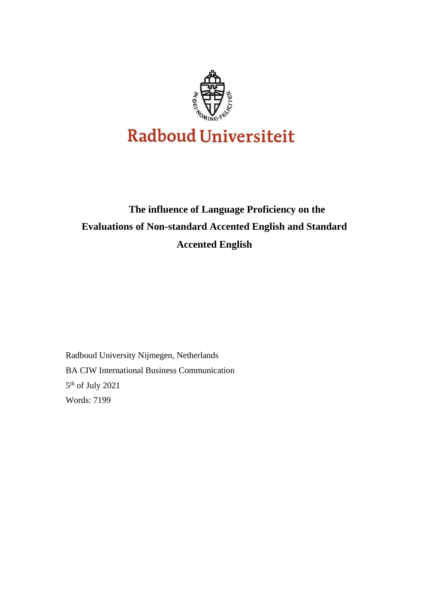

# **The influence of Language Proficiency on the Evaluations of Non-standard Accented English and Standard Accented English**

Radboud University Nijmegen, Netherlands BA CIW International Business Communication 5 th of July 2021 Words: 7199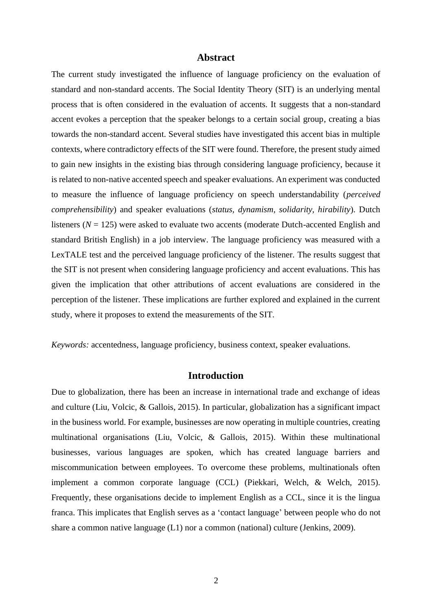#### **Abstract**

The current study investigated the influence of language proficiency on the evaluation of standard and non-standard accents. The Social Identity Theory (SIT) is an underlying mental process that is often considered in the evaluation of accents. It suggests that a non-standard accent evokes a perception that the speaker belongs to a certain social group, creating a bias towards the non-standard accent. Several studies have investigated this accent bias in multiple contexts, where contradictory effects of the SIT were found. Therefore, the present study aimed to gain new insights in the existing bias through considering language proficiency, because it is related to non-native accented speech and speaker evaluations. An experiment was conducted to measure the influence of language proficiency on speech understandability (*perceived comprehensibility*) and speaker evaluations (*status, dynamism, solidarity, hirability*). Dutch listeners  $(N = 125)$  were asked to evaluate two accents (moderate Dutch-accented English and standard British English) in a job interview. The language proficiency was measured with a LexTALE test and the perceived language proficiency of the listener. The results suggest that the SIT is not present when considering language proficiency and accent evaluations. This has given the implication that other attributions of accent evaluations are considered in the perception of the listener. These implications are further explored and explained in the current study, where it proposes to extend the measurements of the SIT.

*Keywords:* accentedness, language proficiency, business context, speaker evaluations.

#### **Introduction**

Due to globalization, there has been an increase in international trade and exchange of ideas and culture (Liu, Volcic, & Gallois, 2015). In particular, globalization has a significant impact in the business world. For example, businesses are now operating in multiple countries, creating multinational organisations (Liu, Volcic, & Gallois, 2015). Within these multinational businesses, various languages are spoken, which has created language barriers and miscommunication between employees. To overcome these problems, multinationals often implement a common corporate language (CCL) (Piekkari, Welch, & Welch, 2015). Frequently, these organisations decide to implement English as a CCL, since it is the lingua franca. This implicates that English serves as a 'contact language' between people who do not share a common native language (L1) nor a common (national) culture (Jenkins, 2009).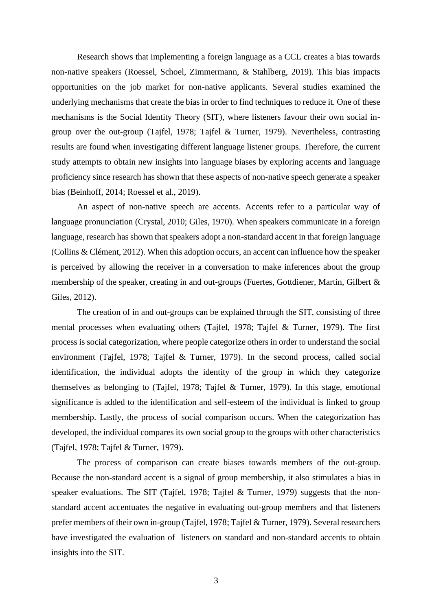Research shows that implementing a foreign language as a CCL creates a bias towards non-native speakers (Roessel, Schoel, Zimmermann, & Stahlberg, 2019). This bias impacts opportunities on the job market for non-native applicants. Several studies examined the underlying mechanisms that create the bias in order to find techniques to reduce it. One of these mechanisms is the Social Identity Theory (SIT), where listeners favour their own social ingroup over the out-group (Tajfel, 1978; Tajfel & Turner, 1979). Nevertheless, contrasting results are found when investigating different language listener groups. Therefore, the current study attempts to obtain new insights into language biases by exploring accents and language proficiency since research has shown that these aspects of non-native speech generate a speaker bias (Beinhoff, 2014; Roessel et al., 2019).

An aspect of non-native speech are accents. Accents refer to a particular way of language pronunciation (Crystal, 2010; Giles, 1970). When speakers communicate in a foreign language, research has shown that speakers adopt a non-standard accent in that foreign language (Collins & Clément, 2012). When this adoption occurs, an accent can influence how the speaker is perceived by allowing the receiver in a conversation to make inferences about the group membership of the speaker, creating in and out-groups (Fuertes, Gottdiener, Martin, Gilbert & Giles, 2012).

The creation of in and out-groups can be explained through the SIT, consisting of three mental processes when evaluating others (Tajfel, 1978; Tajfel & Turner, 1979). The first process is social categorization, where people categorize others in order to understand the social environment (Tajfel, 1978; Tajfel & Turner, 1979). In the second process, called social identification, the individual adopts the identity of the group in which they categorize themselves as belonging to (Tajfel, 1978; Tajfel & Turner, 1979). In this stage, emotional significance is added to the identification and self-esteem of the individual is linked to group membership. Lastly, the process of social comparison occurs. When the categorization has developed, the individual compares its own social group to the groups with other characteristics (Tajfel, 1978; Tajfel & Turner, 1979).

The process of comparison can create biases towards members of the out-group. Because the non-standard accent is a signal of group membership, it also stimulates a bias in speaker evaluations. The SIT (Tajfel, 1978; Tajfel & Turner, 1979) suggests that the nonstandard accent accentuates the negative in evaluating out-group members and that listeners prefer members of their own in-group (Tajfel, 1978; Tajfel & Turner, 1979). Several researchers have investigated the evaluation of listeners on standard and non-standard accents to obtain insights into the SIT.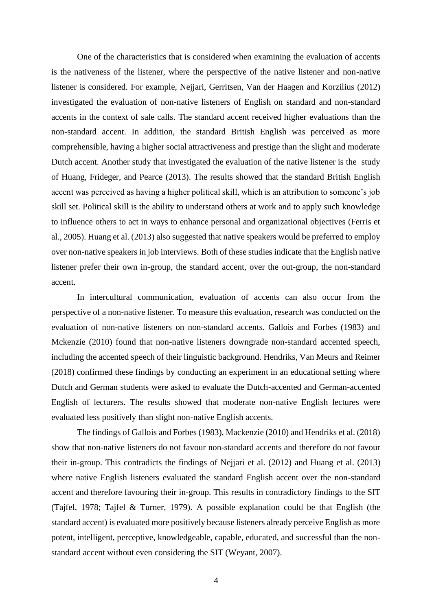One of the characteristics that is considered when examining the evaluation of accents is the nativeness of the listener, where the perspective of the native listener and non-native listener is considered. For example, Nejjari, Gerritsen, Van der Haagen and Korzilius (2012) investigated the evaluation of non-native listeners of English on standard and non-standard accents in the context of sale calls. The standard accent received higher evaluations than the non-standard accent. In addition, the standard British English was perceived as more comprehensible, having a higher social attractiveness and prestige than the slight and moderate Dutch accent. Another study that investigated the evaluation of the native listener is the study of Huang, Frideger, and Pearce (2013). The results showed that the standard British English accent was perceived as having a higher political skill, which is an attribution to someone's job skill set. Political skill is the ability to understand others at work and to apply such knowledge to influence others to act in ways to enhance personal and organizational objectives (Ferris et al., 2005). Huang et al. (2013) also suggested that native speakers would be preferred to employ over non-native speakers in job interviews. Both of these studies indicate that the English native listener prefer their own in-group, the standard accent, over the out-group, the non-standard accent.

In intercultural communication, evaluation of accents can also occur from the perspective of a non-native listener. To measure this evaluation, research was conducted on the evaluation of non-native listeners on non-standard accents. Gallois and Forbes (1983) and Mckenzie (2010) found that non-native listeners downgrade non-standard accented speech, including the accented speech of their linguistic background. Hendriks, Van Meurs and Reimer (2018) confirmed these findings by conducting an experiment in an educational setting where Dutch and German students were asked to evaluate the Dutch-accented and German-accented English of lecturers. The results showed that moderate non-native English lectures were evaluated less positively than slight non-native English accents.

The findings of Gallois and Forbes (1983), Mackenzie (2010) and Hendriks et al. (2018) show that non-native listeners do not favour non-standard accents and therefore do not favour their in-group. This contradicts the findings of Nejjari et al. (2012) and Huang et al. (2013) where native English listeners evaluated the standard English accent over the non-standard accent and therefore favouring their in-group. This results in contradictory findings to the SIT (Tajfel, 1978; Tajfel & Turner, 1979). A possible explanation could be that English (the standard accent) is evaluated more positively because listeners already perceive English as more potent, intelligent, perceptive, knowledgeable, capable, educated, and successful than the nonstandard accent without even considering the SIT (Weyant, 2007).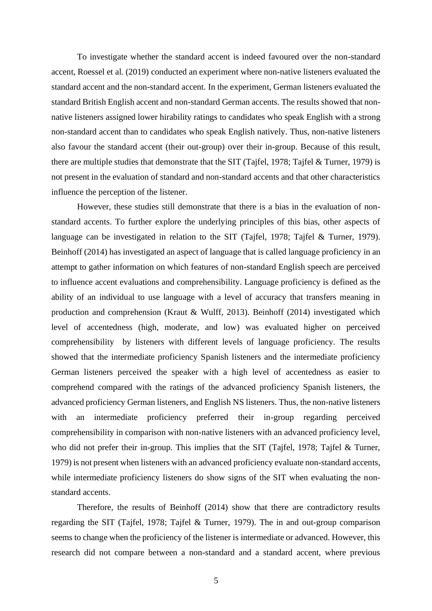To investigate whether the standard accent is indeed favoured over the non-standard accent, Roessel et al. (2019) conducted an experiment where non-native listeners evaluated the standard accent and the non-standard accent. In the experiment, German listeners evaluated the standard British English accent and non-standard German accents*.* The results showed that nonnative listeners assigned lower hirability ratings to candidates who speak English with a strong non-standard accent than to candidates who speak English natively. Thus, non-native listeners also favour the standard accent (their out-group) over their in-group. Because of this result, there are multiple studies that demonstrate that the SIT (Tajfel, 1978; Tajfel & Turner, 1979) is not present in the evaluation of standard and non-standard accents and that other characteristics influence the perception of the listener.

However, these studies still demonstrate that there is a bias in the evaluation of nonstandard accents. To further explore the underlying principles of this bias, other aspects of language can be investigated in relation to the SIT (Tajfel, 1978; Tajfel & Turner, 1979). Beinhoff (2014) has investigated an aspect of language that is called language proficiency in an attempt to gather information on which features of non-standard English speech are perceived to influence accent evaluations and comprehensibility. Language proficiency is defined as the ability of an individual to use language with a level of accuracy that transfers meaning in production and comprehension (Kraut & Wulff, 2013). Beinhoff (2014) investigated which level of accentedness (high, moderate, and low) was evaluated higher on perceived comprehensibility by listeners with different levels of language proficiency. The results showed that the intermediate proficiency Spanish listeners and the intermediate proficiency German listeners perceived the speaker with a high level of accentedness as easier to comprehend compared with the ratings of the advanced proficiency Spanish listeners, the advanced proficiency German listeners, and English NS listeners. Thus, the non-native listeners with an intermediate proficiency preferred their in-group regarding perceived comprehensibility in comparison with non-native listeners with an advanced proficiency level, who did not prefer their in-group. This implies that the SIT (Tajfel, 1978; Tajfel & Turner, 1979) is not present when listeners with an advanced proficiency evaluate non-standard accents, while intermediate proficiency listeners do show signs of the SIT when evaluating the nonstandard accents.

Therefore, the results of Beinhoff (2014) show that there are contradictory results regarding the SIT (Tajfel, 1978; Tajfel & Turner, 1979). The in and out-group comparison seems to change when the proficiency of the listener is intermediate or advanced. However, this research did not compare between a non-standard and a standard accent, where previous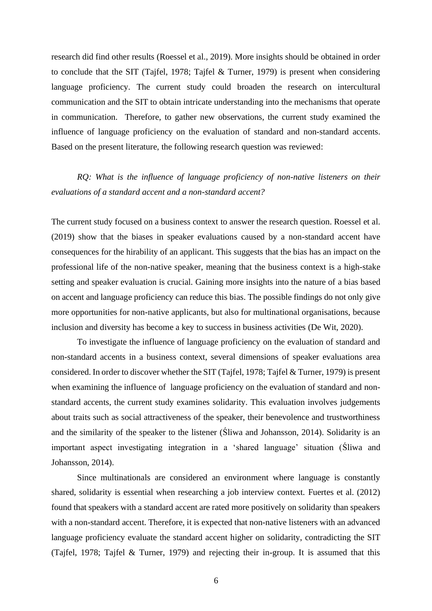research did find other results (Roessel et al., 2019). More insights should be obtained in order to conclude that the SIT (Tajfel, 1978; Tajfel & Turner, 1979) is present when considering language proficiency. The current study could broaden the research on intercultural communication and the SIT to obtain intricate understanding into the mechanisms that operate in communication. Therefore, to gather new observations, the current study examined the influence of language proficiency on the evaluation of standard and non-standard accents. Based on the present literature, the following research question was reviewed:

# *RQ: What is the influence of language proficiency of non-native listeners on their evaluations of a standard accent and a non-standard accent?*

The current study focused on a business context to answer the research question. Roessel et al. (2019) show that the biases in speaker evaluations caused by a non-standard accent have consequences for the hirability of an applicant. This suggests that the bias has an impact on the professional life of the non-native speaker, meaning that the business context is a high-stake setting and speaker evaluation is crucial. Gaining more insights into the nature of a bias based on accent and language proficiency can reduce this bias. The possible findings do not only give more opportunities for non-native applicants, but also for multinational organisations, because inclusion and diversity has become a key to success in business activities (De Wit, 2020).

To investigate the influence of language proficiency on the evaluation of standard and non-standard accents in a business context, several dimensions of speaker evaluations area considered. In order to discover whether the SIT (Tajfel, 1978; Tajfel & Turner, 1979) is present when examining the influence of language proficiency on the evaluation of standard and nonstandard accents, the current study examines solidarity. This evaluation involves judgements about traits such as social attractiveness of the speaker, their benevolence and trustworthiness and the similarity of the speaker to the listener (Śliwa and Johansson, 2014). Solidarity is an important aspect investigating integration in a 'shared language' situation (Śliwa and Johansson, 2014).

Since multinationals are considered an environment where language is constantly shared, solidarity is essential when researching a job interview context. Fuertes et al. (2012) found that speakers with a standard accent are rated more positively on solidarity than speakers with a non-standard accent. Therefore, it is expected that non-native listeners with an advanced language proficiency evaluate the standard accent higher on solidarity, contradicting the SIT (Tajfel, 1978; Tajfel & Turner, 1979) and rejecting their in-group. It is assumed that this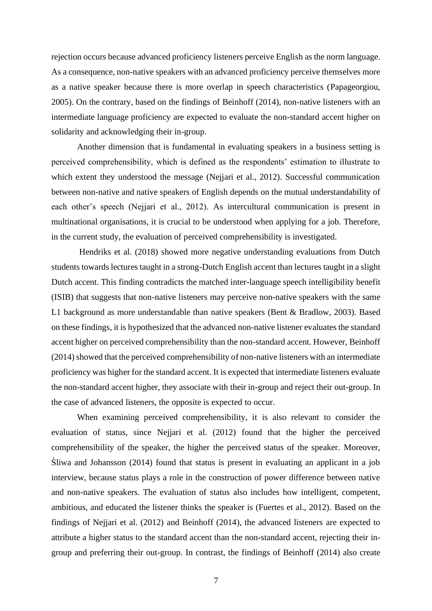rejection occurs because advanced proficiency listeners perceive English as the norm language. As a consequence, non-native speakers with an advanced proficiency perceive themselves more as a native speaker because there is more overlap in speech characteristics (Papageorgiou, 2005). On the contrary, based on the findings of Beinhoff (2014), non-native listeners with an intermediate language proficiency are expected to evaluate the non-standard accent higher on solidarity and acknowledging their in-group.

Another dimension that is fundamental in evaluating speakers in a business setting is perceived comprehensibility, which is defined as the respondents' estimation to illustrate to which extent they understood the message (Nejjari et al., 2012). Successful communication between non-native and native speakers of English depends on the mutual understandability of each other's speech (Nejjari et al., 2012). As intercultural communication is present in multinational organisations, it is crucial to be understood when applying for a job. Therefore, in the current study, the evaluation of perceived comprehensibility is investigated.

Hendriks et al. (2018) showed more negative understanding evaluations from Dutch students towards lectures taught in a strong-Dutch English accent than lectures taught in a slight Dutch accent. This finding contradicts the matched inter-language speech intelligibility benefit (ISIB) that suggests that non-native listeners may perceive non-native speakers with the same L1 background as more understandable than native speakers (Bent & Bradlow, 2003). Based on these findings, it is hypothesized that the advanced non-native listener evaluates the standard accent higher on perceived comprehensibility than the non-standard accent. However, Beinhoff (2014) showed that the perceived comprehensibility of non-native listeners with an intermediate proficiency was higher for the standard accent. It is expected that intermediate listeners evaluate the non-standard accent higher, they associate with their in-group and reject their out-group. In the case of advanced listeners, the opposite is expected to occur.

When examining perceived comprehensibility, it is also relevant to consider the evaluation of status, since Nejjari et al. (2012) found that the higher the perceived comprehensibility of the speaker, the higher the perceived status of the speaker. Moreover, Śliwa and Johansson (2014) found that status is present in evaluating an applicant in a job interview, because status plays a role in the construction of power difference between native and non-native speakers. The evaluation of status also includes how intelligent, competent, ambitious, and educated the listener thinks the speaker is (Fuertes et al., 2012). Based on the findings of Nejjari et al. (2012) and Beinhoff (2014), the advanced listeners are expected to attribute a higher status to the standard accent than the non-standard accent, rejecting their ingroup and preferring their out-group. In contrast, the findings of Beinhoff (2014) also create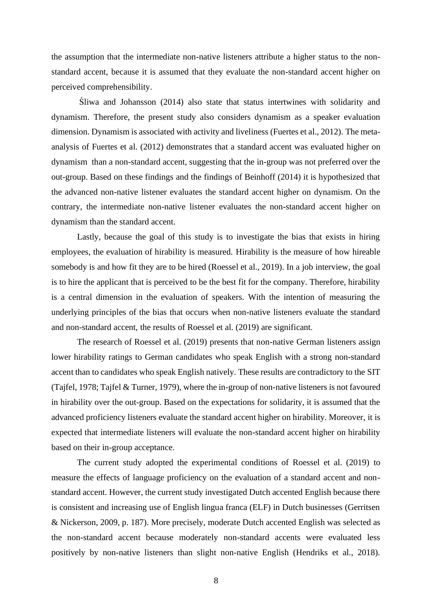the assumption that the intermediate non-native listeners attribute a higher status to the nonstandard accent, because it is assumed that they evaluate the non-standard accent higher on perceived comprehensibility.

Śliwa and Johansson (2014) also state that status intertwines with solidarity and dynamism. Therefore, the present study also considers dynamism as a speaker evaluation dimension. Dynamism is associated with activity and liveliness (Fuertes et al., 2012). The metaanalysis of Fuertes et al. (2012) demonstrates that a standard accent was evaluated higher on dynamism than a non-standard accent, suggesting that the in-group was not preferred over the out-group. Based on these findings and the findings of Beinhoff (2014) it is hypothesized that the advanced non-native listener evaluates the standard accent higher on dynamism. On the contrary, the intermediate non-native listener evaluates the non-standard accent higher on dynamism than the standard accent.

Lastly, because the goal of this study is to investigate the bias that exists in hiring employees, the evaluation of hirability is measured. Hirability is the measure of how hireable somebody is and how fit they are to be hired (Roessel et al., 2019). In a job interview, the goal is to hire the applicant that is perceived to be the best fit for the company. Therefore, hirability is a central dimension in the evaluation of speakers. With the intention of measuring the underlying principles of the bias that occurs when non-native listeners evaluate the standard and non-standard accent, the results of Roessel et al. (2019) are significant.

The research of Roessel et al. (2019) presents that non-native German listeners assign lower hirability ratings to German candidates who speak English with a strong non-standard accent than to candidates who speak English natively. These results are contradictory to the SIT (Tajfel, 1978; Tajfel & Turner, 1979), where the in-group of non-native listeners is not favoured in hirability over the out-group. Based on the expectations for solidarity, it is assumed that the advanced proficiency listeners evaluate the standard accent higher on hirability. Moreover, it is expected that intermediate listeners will evaluate the non-standard accent higher on hirability based on their in-group acceptance.

The current study adopted the experimental conditions of Roessel et al. (2019) to measure the effects of language proficiency on the evaluation of a standard accent and nonstandard accent. However, the current study investigated Dutch accented English because there is consistent and increasing use of English lingua franca (ELF) in Dutch businesses (Gerritsen & Nickerson, 2009, p. 187). More precisely, moderate Dutch accented English was selected as the non-standard accent because moderately non-standard accents were evaluated less positively by non-native listeners than slight non-native English (Hendriks et al., 2018).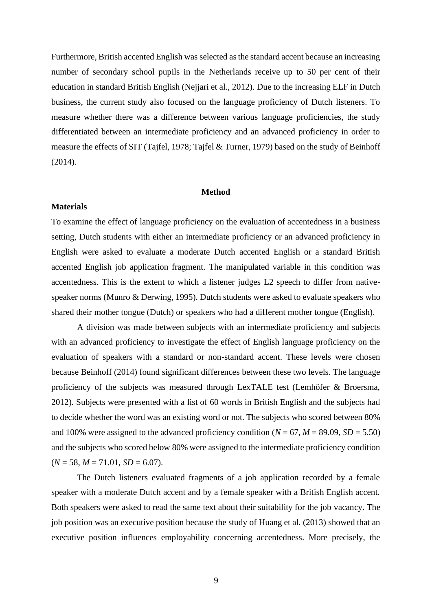Furthermore, British accented English was selected as the standard accent because an increasing number of secondary school pupils in the Netherlands receive up to 50 per cent of their education in standard British English (Nejjari et al., 2012). Due to the increasing ELF in Dutch business, the current study also focused on the language proficiency of Dutch listeners. To measure whether there was a difference between various language proficiencies, the study differentiated between an intermediate proficiency and an advanced proficiency in order to measure the effects of SIT (Tajfel, 1978; Tajfel & Turner, 1979) based on the study of Beinhoff (2014).

#### **Method**

#### **Materials**

To examine the effect of language proficiency on the evaluation of accentedness in a business setting, Dutch students with either an intermediate proficiency or an advanced proficiency in English were asked to evaluate a moderate Dutch accented English or a standard British accented English job application fragment. The manipulated variable in this condition was accentedness. This is the extent to which a listener judges L2 speech to differ from nativespeaker norms (Munro & Derwing, 1995). Dutch students were asked to evaluate speakers who shared their mother tongue (Dutch) or speakers who had a different mother tongue (English).

A division was made between subjects with an intermediate proficiency and subjects with an advanced proficiency to investigate the effect of English language proficiency on the evaluation of speakers with a standard or non-standard accent. These levels were chosen because Beinhoff (2014) found significant differences between these two levels. The language proficiency of the subjects was measured through LexTALE test (Lemhöfer & Broersma, 2012). Subjects were presented with a list of 60 words in British English and the subjects had to decide whether the word was an existing word or not. The subjects who scored between 80% and 100% were assigned to the advanced proficiency condition  $(N = 67, M = 89.09, SD = 5.50)$ and the subjects who scored below 80% were assigned to the intermediate proficiency condition  $(N = 58, M = 71.01, SD = 6.07).$ 

The Dutch listeners evaluated fragments of a job application recorded by a female speaker with a moderate Dutch accent and by a female speaker with a British English accent. Both speakers were asked to read the same text about their suitability for the job vacancy. The job position was an executive position because the study of Huang et al. (2013) showed that an executive position influences employability concerning accentedness. More precisely, the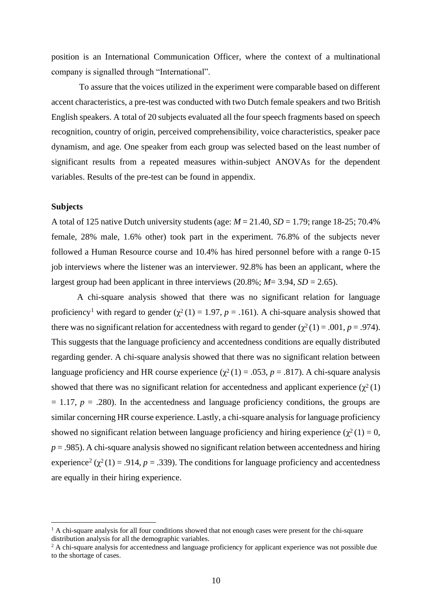position is an International Communication Officer, where the context of a multinational company is signalled through "International".

To assure that the voices utilized in the experiment were comparable based on different accent characteristics, a pre-test was conducted with two Dutch female speakers and two British English speakers. A total of 20 subjects evaluated all the four speech fragments based on speech recognition, country of origin, perceived comprehensibility, voice characteristics, speaker pace dynamism, and age. One speaker from each group was selected based on the least number of significant results from a repeated measures within-subject ANOVAs for the dependent variables. Results of the pre-test can be found in appendix.

#### **Subjects**

A total of 125 native Dutch university students (age:  $M = 21.40$ ,  $SD = 1.79$ ; range 18-25; 70.4% female, 28% male, 1.6% other) took part in the experiment. 76.8% of the subjects never followed a Human Resource course and 10.4% has hired personnel before with a range 0-15 job interviews where the listener was an interviewer. 92.8% has been an applicant, where the largest group had been applicant in three interviews  $(20.8\%; M = 3.94, SD = 2.65)$ .

A chi-square analysis showed that there was no significant relation for language proficiency<sup>1</sup> with regard to gender ( $\chi^2(1) = 1.97$ ,  $p = .161$ ). A chi-square analysis showed that there was no significant relation for accentedness with regard to gender  $(\chi^2(1) = .001, p = .974)$ . This suggests that the language proficiency and accentedness conditions are equally distributed regarding gender. A chi-square analysis showed that there was no significant relation between language proficiency and HR course experience  $(\chi^2(1) = .053, p = .817)$ . A chi-square analysis showed that there was no significant relation for accentedness and applicant experience  $(\chi^2(1))$  $= 1.17$ ,  $p = .280$ ). In the accentedness and language proficiency conditions, the groups are similar concerning HR course experience. Lastly, a chi-square analysis for language proficiency showed no significant relation between language proficiency and hiring experience ( $\chi^2(1) = 0$ ,  $p = .985$ ). A chi-square analysis showed no significant relation between accentedness and hiring experience<sup>2</sup> ( $\chi^2(1) = .914$ ,  $p = .339$ ). The conditions for language proficiency and accentedness are equally in their hiring experience.

<sup>&</sup>lt;sup>1</sup> A chi-square analysis for all four conditions showed that not enough cases were present for the chi-square distribution analysis for all the demographic variables.

<sup>&</sup>lt;sup>2</sup> A chi-square analysis for accentedness and language proficiency for applicant experience was not possible due to the shortage of cases.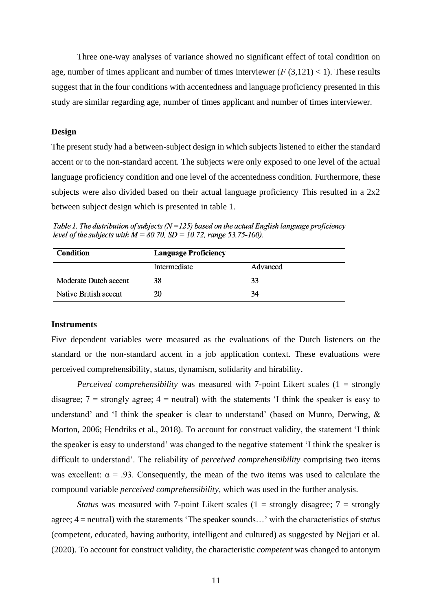Three one-way analyses of variance showed no significant effect of total condition on age, number of times applicant and number of times interviewer  $(F(3,121) < 1)$ . These results suggest that in the four conditions with accentedness and language proficiency presented in this study are similar regarding age, number of times applicant and number of times interviewer.

#### **Design**

The present study had a between-subject design in which subjects listened to either the standard accent or to the non-standard accent. The subjects were only exposed to one level of the actual language proficiency condition and one level of the accentedness condition. Furthermore, these subjects were also divided based on their actual language proficiency This resulted in a 2x2 between subject design which is presented in table 1.

Table 1. The distribution of subjects ( $N = 125$ ) based on the actual English language proficiency level of the subjects with  $M = 80.70$ ,  $SD = 10.72$ , range 53.75-100).

| Condition             | <b>Language Proficiency</b> |          |  |  |  |
|-----------------------|-----------------------------|----------|--|--|--|
|                       | Intermediate                | Advanced |  |  |  |
| Moderate Dutch accent | 38                          | 33       |  |  |  |
| Native British accent | 20                          | 34       |  |  |  |

#### **Instruments**

Five dependent variables were measured as the evaluations of the Dutch listeners on the standard or the non-standard accent in a job application context. These evaluations were perceived comprehensibility, status, dynamism, solidarity and hirability.

*Perceived comprehensibility* was measured with 7-point Likert scales (1 = strongly disagree;  $7 =$  strongly agree;  $4 =$  neutral) with the statements 'I think the speaker is easy to understand' and 'I think the speaker is clear to understand' (based on Munro, Derwing, & Morton, 2006; Hendriks et al., 2018). To account for construct validity, the statement 'I think the speaker is easy to understand' was changed to the negative statement 'I think the speaker is difficult to understand'. The reliability of *perceived comprehensibility* comprising two items was excellent:  $\alpha = .93$ . Consequently, the mean of the two items was used to calculate the compound variable *perceived comprehensibility*, which was used in the further analysis.

*Status* was measured with 7-point Likert scales  $(1 =$  strongly disagree;  $7 =$  strongly agree; 4 = neutral) with the statements 'The speaker sounds…' with the characteristics of *status*  (competent, educated, having authority, intelligent and cultured) as suggested by Nejjari et al. (2020). To account for construct validity, the characteristic *competent* was changed to antonym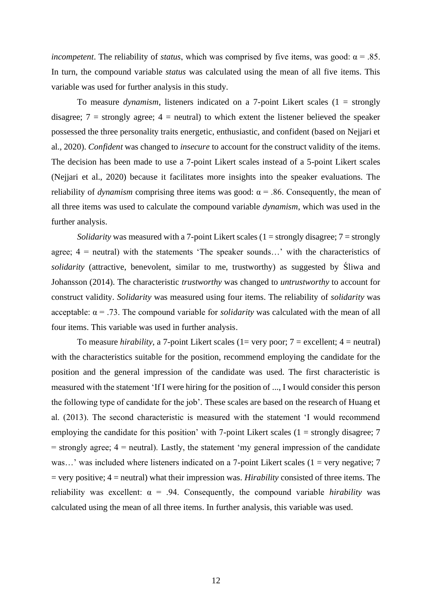*incompetent*. The reliability of *status*, which was comprised by five items, was good:  $\alpha = .85$ . In turn, the compound variable *status* was calculated using the mean of all five items. This variable was used for further analysis in this study.

To measure *dynamism*, listeners indicated on a 7-point Likert scales (1 = strongly disagree;  $7 =$  strongly agree;  $4 =$  neutral) to which extent the listener believed the speaker possessed the three personality traits energetic, enthusiastic, and confident (based on Nejjari et al., 2020). *Confident* was changed to *insecure* to account for the construct validity of the items. The decision has been made to use a 7-point Likert scales instead of a 5-point Likert scales (Nejjari et al., 2020) because it facilitates more insights into the speaker evaluations. The reliability of *dynamism* comprising three items was good:  $\alpha$  = .86. Consequently, the mean of all three items was used to calculate the compound variable *dynamism*, which was used in the further analysis.

*Solidarity* was measured with a 7-point Likert scales (1 = strongly disagree; 7 = strongly agree;  $4$  = neutral) with the statements 'The speaker sounds...' with the characteristics of *solidarity* (attractive, benevolent, similar to me, trustworthy) as suggested by Śliwa and Johansson (2014). The characteristic *trustworthy* was changed to *untrustworthy* to account for construct validity. *Solidarity* was measured using four items. The reliability of *solidarity* was acceptable:  $\alpha = .73$ . The compound variable for *solidarity* was calculated with the mean of all four items. This variable was used in further analysis.

To measure *hirability*, a 7-point Likert scales (1= very poor;  $7$  = excellent;  $4$  = neutral) with the characteristics suitable for the position, recommend employing the candidate for the position and the general impression of the candidate was used. The first characteristic is measured with the statement 'If I were hiring for the position of ..., I would consider this person the following type of candidate for the job'*.* These scales are based on the research of Huang et al. (2013). The second characteristic is measured with the statement 'I would recommend employing the candidate for this position' with 7-point Likert scales  $(1 =$  strongly disagree; 7  $=$  strongly agree;  $4$  = neutral). Lastly, the statement 'my general impression of the candidate was...' was included where listeners indicated on a 7-point Likert scales  $(1 = \text{very negative}; 7$ = very positive; 4 = neutral) what their impression was. *Hirability* consisted of three items. The reliability was excellent:  $\alpha = .94$ . Consequently, the compound variable *hirability* was calculated using the mean of all three items. In further analysis, this variable was used.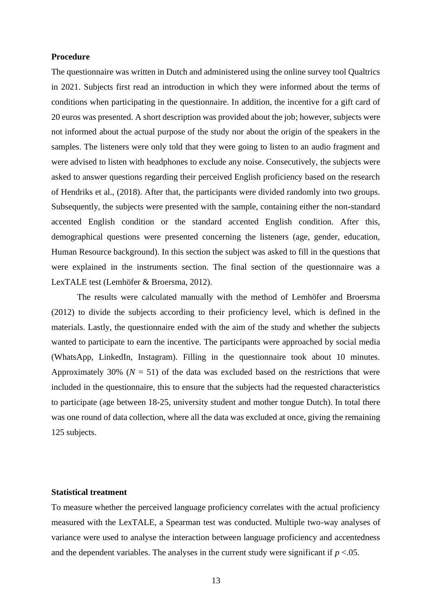#### **Procedure**

The questionnaire was written in Dutch and administered using the online survey tool Qualtrics in 2021. Subjects first read an introduction in which they were informed about the terms of conditions when participating in the questionnaire. In addition, the incentive for a gift card of 20 euros was presented. A short description was provided about the job; however, subjects were not informed about the actual purpose of the study nor about the origin of the speakers in the samples. The listeners were only told that they were going to listen to an audio fragment and were advised to listen with headphones to exclude any noise. Consecutively, the subjects were asked to answer questions regarding their perceived English proficiency based on the research of Hendriks et al., (2018). After that, the participants were divided randomly into two groups. Subsequently, the subjects were presented with the sample, containing either the non-standard accented English condition or the standard accented English condition. After this, demographical questions were presented concerning the listeners (age, gender, education, Human Resource background). In this section the subject was asked to fill in the questions that were explained in the instruments section. The final section of the questionnaire was a LexTALE test (Lemhöfer & Broersma, 2012).

The results were calculated manually with the method of Lemhöfer and Broersma (2012) to divide the subjects according to their proficiency level, which is defined in the materials. Lastly, the questionnaire ended with the aim of the study and whether the subjects wanted to participate to earn the incentive. The participants were approached by social media (WhatsApp, LinkedIn, Instagram). Filling in the questionnaire took about 10 minutes. Approximately 30% ( $N = 51$ ) of the data was excluded based on the restrictions that were included in the questionnaire, this to ensure that the subjects had the requested characteristics to participate (age between 18-25, university student and mother tongue Dutch). In total there was one round of data collection, where all the data was excluded at once, giving the remaining 125 subjects.

#### **Statistical treatment**

To measure whether the perceived language proficiency correlates with the actual proficiency measured with the LexTALE, a Spearman test was conducted. Multiple two-way analyses of variance were used to analyse the interaction between language proficiency and accentedness and the dependent variables. The analyses in the current study were significant if  $p < 0.05$ .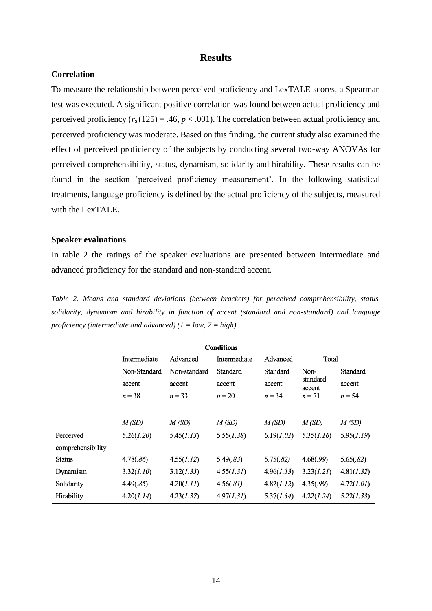### **Results**

#### **Correlation**

To measure the relationship between perceived proficiency and LexTALE scores, a Spearman test was executed. A significant positive correlation was found between actual proficiency and perceived proficiency  $(r_s(125) = .46, p < .001)$ . The correlation between actual proficiency and perceived proficiency was moderate. Based on this finding, the current study also examined the effect of perceived proficiency of the subjects by conducting several two-way ANOVAs for perceived comprehensibility, status, dynamism, solidarity and hirability. These results can be found in the section 'perceived proficiency measurement'. In the following statistical treatments, language proficiency is defined by the actual proficiency of the subjects, measured with the LexTALE.

#### **Speaker evaluations**

In table 2 the ratings of the speaker evaluations are presented between intermediate and advanced proficiency for the standard and non-standard accent.

*Table 2. Means and standard deviations (between brackets) for perceived comprehensibility, status, solidarity, dynamism and hirability in function of accent (standard and non-standard) and language proficiency (intermediate and advanced) (1 = low, 7 = high).* 

|                   |              |              | <b>Conditions</b> |            |                    |            |
|-------------------|--------------|--------------|-------------------|------------|--------------------|------------|
|                   | Intermediate | Advanced     | Intermediate      | Advanced   | Total              |            |
|                   | Non-Standard | Non-standard | Standard          | Standard   | Non-               | Standard   |
|                   | accent       | accent       | accent            | accent     | standard<br>accent | accent     |
|                   | $n = 38$     | $n = 33$     | $n = 20$          | $n = 34$   | $n=71$             | $n = 54$   |
|                   |              |              |                   |            |                    |            |
|                   | M(SD)        | M(SD)        | M(SD)             | M(SD)      | M(SD)              | M(SD)      |
| Perceived         | 5.26(1.20)   | 5.45(1.13)   | 5.55(1.38)        | 6.19(1.02) | 5.35(1.16)         | 5.95(1.19) |
| comprehensibility |              |              |                   |            |                    |            |
| <b>Status</b>     | 4.78(.86)    | 4.55(1.12)   | 5.49(.83)         | 5.75(.82)  | 4.68(.99)          | 5.65(.82)  |
| Dynamism          | 3.32(1.10)   | 3.12(1.33)   | 4.55(1.31)        | 4.96(1.33) | 3.23(1.21)         | 4.81(1.32) |
| Solidarity        | 4.49(.85)    | 4.20(1.11)   | 4.56(.81)         | 4.82(1.12) | 4.35(.99)          | 4.72(1.01) |
| Hirability        | 4.20(1.14)   | 4.23(1.37)   | 4.97(1.31)        | 5.37(1.34) | 4.22(1.24)         | 5.22(1.33) |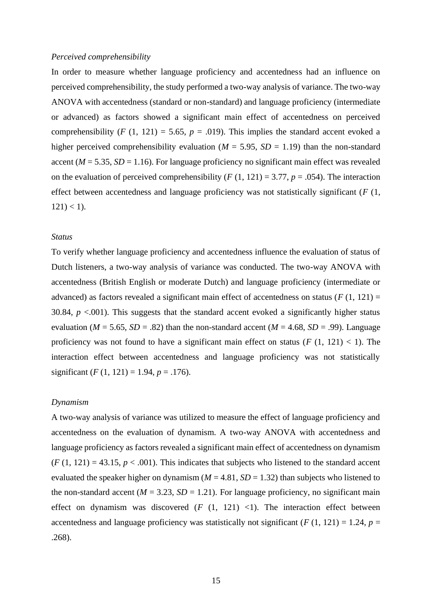#### *Perceived comprehensibility*

In order to measure whether language proficiency and accentedness had an influence on perceived comprehensibility, the study performed a two-way analysis of variance. The two-way ANOVA with accentedness (standard or non-standard) and language proficiency (intermediate or advanced) as factors showed a significant main effect of accentedness on perceived comprehensibility (*F* (1, 121) = 5.65,  $p = .019$ ). This implies the standard accent evoked a higher perceived comprehensibility evaluation ( $M = 5.95$ ,  $SD = 1.19$ ) than the non-standard accent ( $M = 5.35$ ,  $SD = 1.16$ ). For language proficiency no significant main effect was revealed on the evaluation of perceived comprehensibility  $(F (1, 121) = 3.77, p = .054)$ . The interaction effect between accentedness and language proficiency was not statistically significant (*F* (1,  $121$ ) < 1).

#### *Status*

To verify whether language proficiency and accentedness influence the evaluation of status of Dutch listeners, a two-way analysis of variance was conducted. The two-way ANOVA with accentedness (British English or moderate Dutch) and language proficiency (intermediate or advanced) as factors revealed a significant main effect of accentedness on status ( $F(1, 121) =$ 30.84,  $p < .001$ ). This suggests that the standard accent evoked a significantly higher status evaluation ( $M = 5.65$ ,  $SD = .82$ ) than the non-standard accent ( $M = 4.68$ ,  $SD = .99$ ). Language proficiency was not found to have a significant main effect on status  $(F (1, 121) < 1)$ . The interaction effect between accentedness and language proficiency was not statistically significant  $(F (1, 121) = 1.94, p = .176)$ .

#### *Dynamism*

A two-way analysis of variance was utilized to measure the effect of language proficiency and accentedness on the evaluation of dynamism. A two-way ANOVA with accentedness and language proficiency as factors revealed a significant main effect of accentedness on dynamism  $(F (1, 121) = 43.15, p < .001)$ . This indicates that subjects who listened to the standard accent evaluated the speaker higher on dynamism ( $M = 4.81$ ,  $SD = 1.32$ ) than subjects who listened to the non-standard accent ( $M = 3.23$ ,  $SD = 1.21$ ). For language proficiency, no significant main effect on dynamism was discovered  $(F (1, 121) < 1)$ . The interaction effect between accentedness and language proficiency was statistically not significant ( $F(1, 121) = 1.24$ ,  $p =$ .268).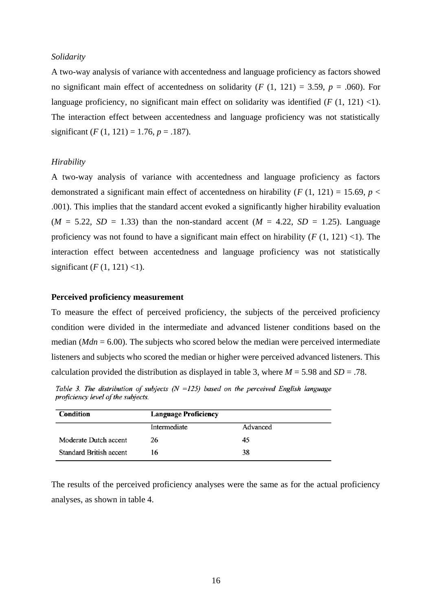#### *Solidarity*

A two-way analysis of variance with accentedness and language proficiency as factors showed no significant main effect of accentedness on solidarity ( $F(1, 121) = 3.59$ ,  $p = .060$ ). For language proficiency, no significant main effect on solidarity was identified  $(F (1, 121) < 1)$ . The interaction effect between accentedness and language proficiency was not statistically significant  $(F (1, 121) = 1.76, p = .187)$ .

#### *Hirability*

A two-way analysis of variance with accentedness and language proficiency as factors demonstrated a significant main effect of accentedness on hirability ( $F(1, 121) = 15.69$ ,  $p <$ .001). This implies that the standard accent evoked a significantly higher hirability evaluation  $(M = 5.22, SD = 1.33)$  than the non-standard accent  $(M = 4.22, SD = 1.25)$ . Language proficiency was not found to have a significant main effect on hirability  $(F (1, 121) < 1)$ . The interaction effect between accentedness and language proficiency was not statistically significant  $(F(1, 121)$  <1).

#### **Perceived proficiency measurement**

To measure the effect of perceived proficiency, the subjects of the perceived proficiency condition were divided in the intermediate and advanced listener conditions based on the median (*Mdn* = 6.00). The subjects who scored below the median were perceived intermediate listeners and subjects who scored the median or higher were perceived advanced listeners. This calculation provided the distribution as displayed in table 3, where  $M = 5.98$  and  $SD = .78$ .

Table 3. The distribution of subjects  $(N = 125)$  based on the perceived English language proficiency level of the subjects.

| <b>Condition</b>        | <b>Language Proficiency</b> |          |  |  |  |
|-------------------------|-----------------------------|----------|--|--|--|
|                         | Intermediate                | Advanced |  |  |  |
| Moderate Dutch accent   | 26                          | 45       |  |  |  |
| Standard British accent | 16                          | 38       |  |  |  |

The results of the perceived proficiency analyses were the same as for the actual proficiency analyses, as shown in table 4.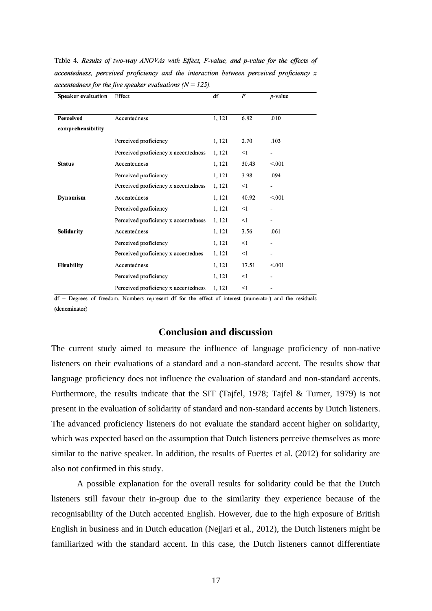Table 4. Results of two-way ANOVAs with Effect, F-value, and p-value for the effects of accentedness, perceived proficiency and the interaction between perceived proficiency x accentedness for the five speaker evaluations ( $N = 125$ ).

| Speaker evaluation | Effect                               | đĪ     | F     | <i>p</i> -value          |
|--------------------|--------------------------------------|--------|-------|--------------------------|
|                    |                                      |        |       |                          |
| Perceived          | Accentedness                         | 1, 121 | 6.82  | .010                     |
| comprehensibility  |                                      |        |       |                          |
|                    | Perceived proficiency                | 1, 121 | 2.70  | .103                     |
|                    | Perceived proficiency x accentedness | 1, 121 | <1    | $\overline{\phantom{a}}$ |
| <b>Status</b>      | Accentedness                         | 1, 121 | 30.43 | < 0.001                  |
|                    | Perceived proficiency                | 1, 121 | 3.98  | .094                     |
|                    | Perceived proficiency x accentedness | 1, 121 | <1    |                          |
| Dynamism           | Accentedness                         | 1, 121 | 40.92 | < 0.01                   |
|                    | Perceived proficiency                | 1, 121 | <1    | $\overline{\phantom{a}}$ |
|                    | Perceived proficiency x accentedness | 1, 121 | <1    | $\overline{\phantom{a}}$ |
| Solidarity         | Accentedness                         | 1, 121 | 3.56  | .061                     |
|                    | Perceived proficiency                | 1, 121 | $<$ 1 |                          |
|                    | Perceived proficiency x accentednes  | 1, 121 | <1    | $\overline{\phantom{a}}$ |
| <b>Hirability</b>  | Accentedness                         | 1, 121 | 17.51 | < 0.01                   |
|                    | Perceived proficiency                | 1, 121 | <1    | ٠                        |
|                    | Perceived proficiency x accentedness | 1, 121 | <1    |                          |

 $df =$  Degrees of freedom. Numbers represent df for the effect of interest (numerator) and the residuals (denominator)

#### **Conclusion and discussion**

The current study aimed to measure the influence of language proficiency of non-native listeners on their evaluations of a standard and a non-standard accent. The results show that language proficiency does not influence the evaluation of standard and non-standard accents. Furthermore, the results indicate that the SIT (Tajfel, 1978; Tajfel & Turner, 1979) is not present in the evaluation of solidarity of standard and non-standard accents by Dutch listeners. The advanced proficiency listeners do not evaluate the standard accent higher on solidarity, which was expected based on the assumption that Dutch listeners perceive themselves as more similar to the native speaker. In addition, the results of Fuertes et al. (2012) for solidarity are also not confirmed in this study.

A possible explanation for the overall results for solidarity could be that the Dutch listeners still favour their in-group due to the similarity they experience because of the recognisability of the Dutch accented English. However, due to the high exposure of British English in business and in Dutch education (Nejjari et al., 2012), the Dutch listeners might be familiarized with the standard accent. In this case, the Dutch listeners cannot differentiate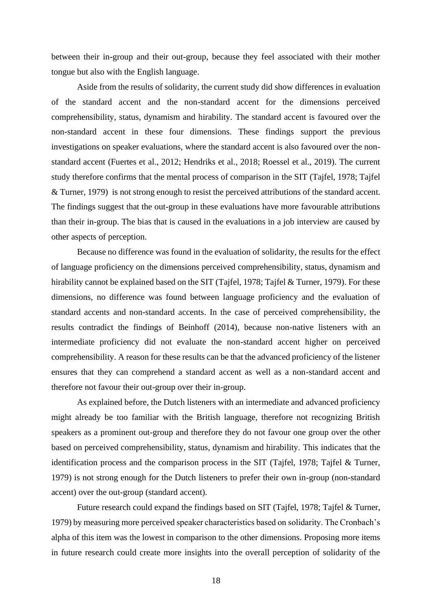between their in-group and their out-group, because they feel associated with their mother tongue but also with the English language.

Aside from the results of solidarity, the current study did show differences in evaluation of the standard accent and the non-standard accent for the dimensions perceived comprehensibility, status, dynamism and hirability. The standard accent is favoured over the non-standard accent in these four dimensions. These findings support the previous investigations on speaker evaluations, where the standard accent is also favoured over the nonstandard accent (Fuertes et al., 2012; Hendriks et al., 2018; Roessel et al., 2019). The current study therefore confirms that the mental process of comparison in the SIT (Tajfel, 1978; Tajfel & Turner, 1979) is not strong enough to resist the perceived attributions of the standard accent. The findings suggest that the out-group in these evaluations have more favourable attributions than their in-group. The bias that is caused in the evaluations in a job interview are caused by other aspects of perception.

Because no difference was found in the evaluation of solidarity, the results for the effect of language proficiency on the dimensions perceived comprehensibility, status, dynamism and hirability cannot be explained based on the SIT (Tajfel, 1978; Tajfel & Turner, 1979). For these dimensions, no difference was found between language proficiency and the evaluation of standard accents and non-standard accents. In the case of perceived comprehensibility, the results contradict the findings of Beinhoff (2014), because non-native listeners with an intermediate proficiency did not evaluate the non-standard accent higher on perceived comprehensibility. A reason for these results can be that the advanced proficiency of the listener ensures that they can comprehend a standard accent as well as a non-standard accent and therefore not favour their out-group over their in-group.

As explained before, the Dutch listeners with an intermediate and advanced proficiency might already be too familiar with the British language, therefore not recognizing British speakers as a prominent out-group and therefore they do not favour one group over the other based on perceived comprehensibility, status, dynamism and hirability. This indicates that the identification process and the comparison process in the SIT (Tajfel, 1978; Tajfel & Turner, 1979) is not strong enough for the Dutch listeners to prefer their own in-group (non-standard accent) over the out-group (standard accent).

Future research could expand the findings based on SIT (Tajfel, 1978; Tajfel & Turner, 1979) by measuring more perceived speaker characteristics based on solidarity. The Cronbach's alpha of this item was the lowest in comparison to the other dimensions. Proposing more items in future research could create more insights into the overall perception of solidarity of the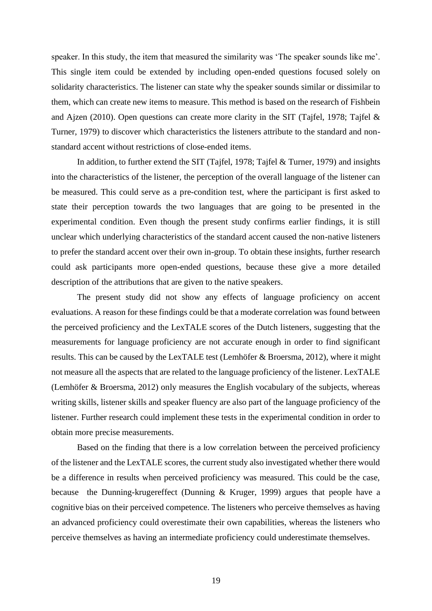speaker. In this study, the item that measured the similarity was 'The speaker sounds like me'. This single item could be extended by including open-ended questions focused solely on solidarity characteristics. The listener can state why the speaker sounds similar or dissimilar to them, which can create new items to measure. This method is based on the research of Fishbein and Ajzen (2010). Open questions can create more clarity in the SIT (Tajfel, 1978; Tajfel & Turner, 1979) to discover which characteristics the listeners attribute to the standard and nonstandard accent without restrictions of close-ended items.

In addition, to further extend the SIT (Tajfel, 1978; Tajfel & Turner, 1979) and insights into the characteristics of the listener, the perception of the overall language of the listener can be measured. This could serve as a pre-condition test, where the participant is first asked to state their perception towards the two languages that are going to be presented in the experimental condition. Even though the present study confirms earlier findings, it is still unclear which underlying characteristics of the standard accent caused the non-native listeners to prefer the standard accent over their own in-group. To obtain these insights, further research could ask participants more open-ended questions, because these give a more detailed description of the attributions that are given to the native speakers.

The present study did not show any effects of language proficiency on accent evaluations. A reason for these findings could be that a moderate correlation was found between the perceived proficiency and the LexTALE scores of the Dutch listeners, suggesting that the measurements for language proficiency are not accurate enough in order to find significant results. This can be caused by the LexTALE test (Lemhöfer & Broersma, 2012), where it might not measure all the aspects that are related to the language proficiency of the listener. LexTALE (Lemhöfer & Broersma, 2012) only measures the English vocabulary of the subjects, whereas writing skills, listener skills and speaker fluency are also part of the language proficiency of the listener. Further research could implement these tests in the experimental condition in order to obtain more precise measurements.

Based on the finding that there is a low correlation between the perceived proficiency of the listener and the LexTALE scores, the current study also investigated whether there would be a difference in results when perceived proficiency was measured. This could be the case, because the Dunning-krugereffect (Dunning & Kruger, 1999) argues that people have a cognitive bias on their perceived competence. The listeners who perceive themselves as having an advanced proficiency could overestimate their own capabilities, whereas the listeners who perceive themselves as having an intermediate proficiency could underestimate themselves.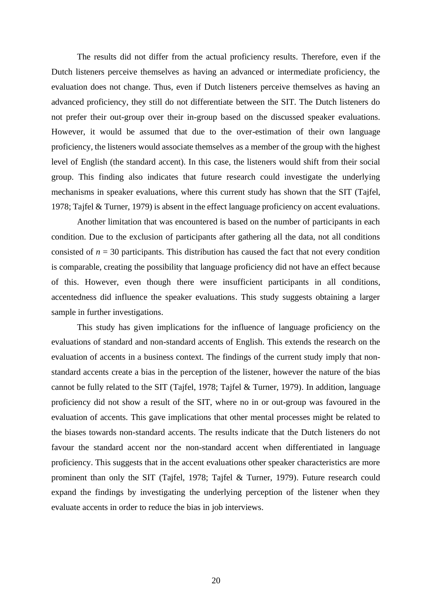The results did not differ from the actual proficiency results. Therefore, even if the Dutch listeners perceive themselves as having an advanced or intermediate proficiency, the evaluation does not change. Thus, even if Dutch listeners perceive themselves as having an advanced proficiency, they still do not differentiate between the SIT. The Dutch listeners do not prefer their out-group over their in-group based on the discussed speaker evaluations. However, it would be assumed that due to the over-estimation of their own language proficiency, the listeners would associate themselves as a member of the group with the highest level of English (the standard accent). In this case, the listeners would shift from their social group. This finding also indicates that future research could investigate the underlying mechanisms in speaker evaluations, where this current study has shown that the SIT (Tajfel, 1978; Tajfel & Turner, 1979) is absent in the effect language proficiency on accent evaluations.

Another limitation that was encountered is based on the number of participants in each condition. Due to the exclusion of participants after gathering all the data, not all conditions consisted of  $n = 30$  participants. This distribution has caused the fact that not every condition is comparable, creating the possibility that language proficiency did not have an effect because of this. However, even though there were insufficient participants in all conditions, accentedness did influence the speaker evaluations. This study suggests obtaining a larger sample in further investigations.

This study has given implications for the influence of language proficiency on the evaluations of standard and non-standard accents of English. This extends the research on the evaluation of accents in a business context. The findings of the current study imply that nonstandard accents create a bias in the perception of the listener, however the nature of the bias cannot be fully related to the SIT (Tajfel, 1978; Tajfel & Turner, 1979). In addition, language proficiency did not show a result of the SIT, where no in or out-group was favoured in the evaluation of accents. This gave implications that other mental processes might be related to the biases towards non-standard accents. The results indicate that the Dutch listeners do not favour the standard accent nor the non-standard accent when differentiated in language proficiency. This suggests that in the accent evaluations other speaker characteristics are more prominent than only the SIT (Tajfel, 1978; Tajfel & Turner, 1979). Future research could expand the findings by investigating the underlying perception of the listener when they evaluate accents in order to reduce the bias in job interviews.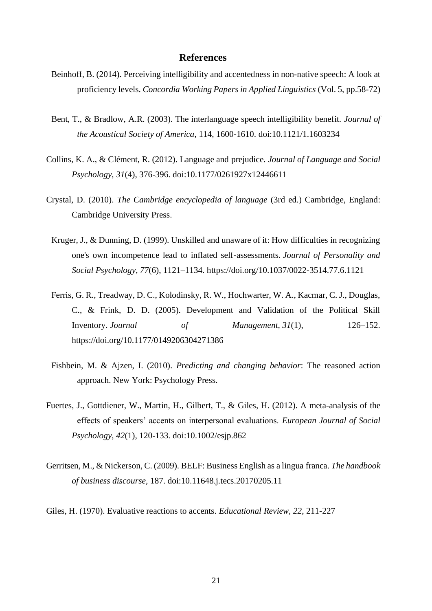#### **References**

- Beinhoff, B. (2014). Perceiving intelligibility and accentedness in non-native speech: A look at proficiency levels. *Concordia Working Papers in Applied Linguistics* (Vol. 5, pp.58-72)
- Bent, T., & Bradlow, A.R. (2003). The interlanguage speech intelligibility benefit. *Journal of the Acoustical Society of America*, 114, 1600-1610. doi:10.1121/1.1603234
- Collins, K. A., & Clément, R. (2012). Language and prejudice. *Journal of Language and Social Psychology, 31*(4), 376-396. doi:10.1177/0261927x12446611
- Crystal, D. (2010). *The Cambridge encyclopedia of language* (3rd ed.) Cambridge, England: Cambridge University Press.
- Kruger, J., & Dunning, D. (1999). Unskilled and unaware of it: How difficulties in recognizing one's own incompetence lead to inflated self-assessments. *Journal of Personality and Social Psychology*, *77*(6), 1121–1134. https://doi.org/10.1037/0022-3514.77.6.1121
- Ferris, G. R., Treadway, D. C., Kolodinsky, R. W., Hochwarter, W. A., Kacmar, C. J., Douglas, C., & Frink, D. D. (2005). Development and Validation of the Political Skill Inventory. *Journal of Management*, *31*(1), 126–152. https://doi.org/10.1177/0149206304271386
- Fishbein, M. & Ajzen, I. (2010). *Predicting and changing behavior*: The reasoned action approach. New York: Psychology Press.
- Fuertes, J., Gottdiener, W., Martin, H., Gilbert, T., & Giles, H. (2012). A meta-analysis of the effects of speakers' accents on interpersonal evaluations. *European Journal of Social Psychology*, *42*(1), 120-133. doi:10.1002/esjp.862
- Gerritsen, M., & Nickerson, C. (2009). BELF: Business English as a lingua franca. *The handbook of business discourse,* 187. doi:10.11648.j.tecs.20170205.11

Giles, H. (1970). Evaluative reactions to accents. *Educational Review, 22*, 211-227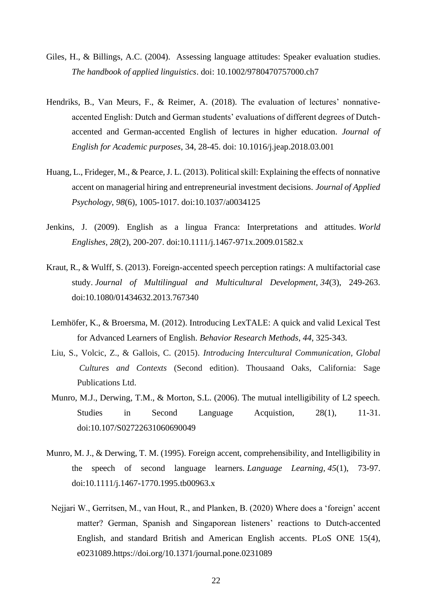- Giles, H., & Billings, A.C. (2004). Assessing language attitudes: Speaker evaluation studies. *The handbook of applied linguistics*. doi: 10.1002/9780470757000.ch7
- Hendriks, B., Van Meurs, F., & Reimer, A. (2018). The evaluation of lectures' nonnativeaccented English: Dutch and German students' evaluations of different degrees of Dutchaccented and German-accented English of lectures in higher education. *Journal of English for Academic purposes*, 34, 28-45. doi: 10.1016/j.jeap.2018.03.001
- Huang, L., Frideger, M., & Pearce, J. L. (2013). Political skill: Explaining the effects of nonnative accent on managerial hiring and entrepreneurial investment decisions. *Journal of Applied Psychology, 98*(6), 1005-1017. doi:10.1037/a0034125
- Jenkins, J. (2009). English as a lingua Franca: Interpretations and attitudes. *World Englishes, 28*(2), 200-207. doi:10.1111/j.1467-971x.2009.01582.x
- Kraut, R., & Wulff, S. (2013). Foreign-accented speech perception ratings: A multifactorial case study. *Journal of Multilingual and Multicultural Development, 34*(3), 249-263. doi:10.1080/01434632.2013.767340
- Lemhöfer, K., & Broersma, M. (2012). Introducing LexTALE: A quick and valid Lexical Test for Advanced Learners of English. *Behavior Research Methods, 44*, 325-343.
- Liu, S., Volcic, Z., & Gallois, C. (2015). *Introducing Intercultural Communication, Global Cultures and Contexts* (Second edition). Thousaand Oaks, California: Sage Publications Ltd.
- Munro, M.J., Derwing, T.M., & Morton, S.L. (2006). The mutual intelligibility of L2 speech. Studies in Second Language Acquistion, 28(1), 11-31. doi:10.107/S02722631060690049
- Munro, M. J., & Derwing, T. M. (1995). Foreign accent, comprehensibility, and Intelligibility in the speech of second language learners. *Language Learning, 45*(1), 73-97. doi:10.1111/j.1467-1770.1995.tb00963.x
- Nejjari W., Gerritsen, M., van Hout, R., and Planken, B. (2020) Where does a 'foreign' accent matter? German, Spanish and Singaporean listeners' reactions to Dutch-accented English, and standard British and American English accents. PLoS ONE 15(4), e0231089.https://doi.org/10.1371/journal.pone.0231089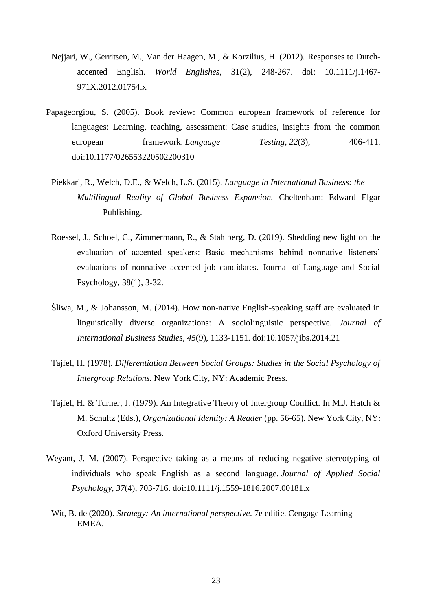- Nejjari, W., Gerritsen, M., Van der Haagen, M., & Korzilius, H. (2012). Responses to Dutchaccented English. *World Englishes,* 31(2), 248-267. doi: 10.1111/j.1467- 971X.2012.01754.x
- Papageorgiou, S. (2005). Book review: Common european framework of reference for languages: Learning, teaching, assessment: Case studies, insights from the common european framework. *Language Testing*, 22(3), 406-411. doi:10.1177/026553220502200310
- Piekkari, R., Welch, D.E., & Welch, L.S. (2015). *Language in International Business: the Multilingual Reality of Global Business Expansion.* Cheltenham: Edward Elgar Publishing.
- Roessel, J., Schoel, C., Zimmermann, R., & Stahlberg, D. (2019). Shedding new light on the evaluation of accented speakers: Basic mechanisms behind nonnative listeners' evaluations of nonnative accented job candidates. Journal of Language and Social Psychology, 38(1), 3-32.
- Śliwa, M., & Johansson, M. (2014). How non-native English-speaking staff are evaluated in linguistically diverse organizations: A sociolinguistic perspective. *Journal of International Business Studies, 45*(9), 1133-1151. doi:10.1057/jibs.2014.21
- Tajfel, H. (1978). *Differentiation Between Social Groups: Studies in the Social Psychology of Intergroup Relations.* New York City, NY: Academic Press.
- Tajfel, H. & Turner, J. (1979). An Integrative Theory of Intergroup Conflict. In M.J. Hatch & M. Schultz (Eds.), *Organizational Identity: A Reader* (pp. 56-65). New York City, NY: Oxford University Press.
- Weyant, J. M. (2007). Perspective taking as a means of reducing negative stereotyping of individuals who speak English as a second language. *Journal of Applied Social Psychology, 37*(4), 703-716. doi:10.1111/j.1559-1816.2007.00181.x
	- Wit, B. de (2020). *Strategy: An international perspective*. 7e editie. Cengage Learning EMEA.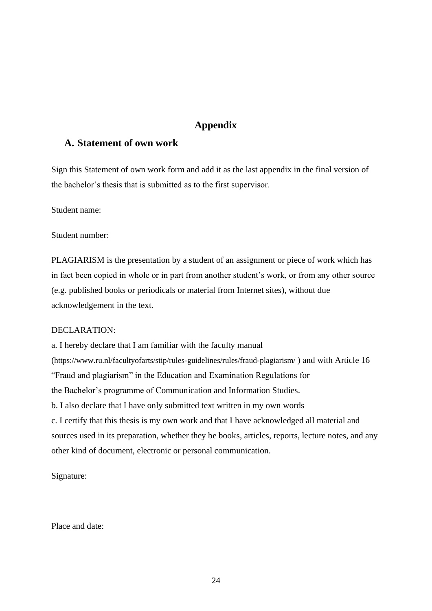## **Appendix**

## **A. Statement of own work**

Sign this Statement of own work form and add it as the last appendix in the final version of the bachelor's thesis that is submitted as to the first supervisor.

Student name:

Student number:

PLAGIARISM is the presentation by a student of an assignment or piece of work which has in fact been copied in whole or in part from another student's work, or from any other source (e.g. published books or periodicals or material from Internet sites), without due acknowledgement in the text.

#### DECLARATION:

a. I hereby declare that I am familiar with the faculty manual (https://www.ru.nl/facultyofarts/stip/rules-guidelines/rules/fraud-plagiarism/ ) and with Article 16 "Fraud and plagiarism" in the Education and Examination Regulations for the Bachelor's programme of Communication and Information Studies. b. I also declare that I have only submitted text written in my own words c. I certify that this thesis is my own work and that I have acknowledged all material and sources used in its preparation, whether they be books, articles, reports, lecture notes, and any other kind of document, electronic or personal communication.

Signature:

Place and date: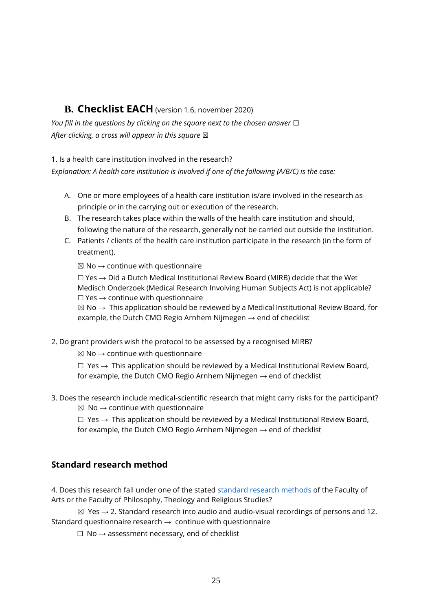# **B. Checklist EACH** (version 1.6, november 2020)

*You fill in the questions by clicking on the square next to the chosen answer* □ *After clicking, a cross will appear in this square* ⊠

1. Is a health care institution involved in the research?

*Explanation: A health care institution is involved if one of the following (A/B/C) is the case:*

- A. One or more employees of a health care institution is/are involved in the research as principle or in the carrying out or execution of the research.
- B. The research takes place within the walls of the health care institution and should, following the nature of the research, generally not be carried out outside the institution.
- C. Patients / clients of the health care institution participate in the research (in the form of treatment).

 $\boxtimes$  No  $\rightarrow$  continue with questionnaire

 $\Box$  Yes  $\rightarrow$  Did a Dutch Medical Institutional Review Board (MIRB) decide that the Wet Medisch Onderzoek (Medical Research Involving Human Subjects Act) is not applicable?  $\Box$  Yes  $\rightarrow$  continue with questionnaire

 $\boxtimes$  No  $\rightarrow$  This application should be reviewed by a Medical Institutional Review Board, for example, the Dutch CMO Regio Arnhem Nijmegen  $\rightarrow$  end of checklist

2. Do grant providers wish the protocol to be assessed by a recognised MIRB?

 $\boxtimes$  No  $\rightarrow$  continue with questionnaire

 $\Box$  Yes  $\rightarrow$  This application should be reviewed by a Medical Institutional Review Board, for example, the Dutch CMO Regio Arnhem Nijmegen  $\rightarrow$  end of checklist

3. Does the research include medical-scientific research that might carry risks for the participant?  $\boxtimes$  No  $\rightarrow$  continue with questionnaire

 $\Box$  Yes  $\rightarrow$  This application should be reviewed by a Medical Institutional Review Board, for example, the Dutch CMO Regio Arnhem Nijmegen  $\rightarrow$  end of checklist

# **Standard research method**

4. Does this research fall under one of the stated [standard research methods](https://etc.science.ru.nl/downloads/standard_research_methods_v1.2.pdf) of the Faculty of Arts or the Faculty of Philosophy, Theology and Religious Studies?

 $\boxtimes$  Yes  $\rightarrow$  2. Standard research into audio and audio-visual recordings of persons and 12. Standard questionnaire research  $\rightarrow$  continue with questionnaire

 $\Box$  No  $\rightarrow$  assessment necessary, end of checklist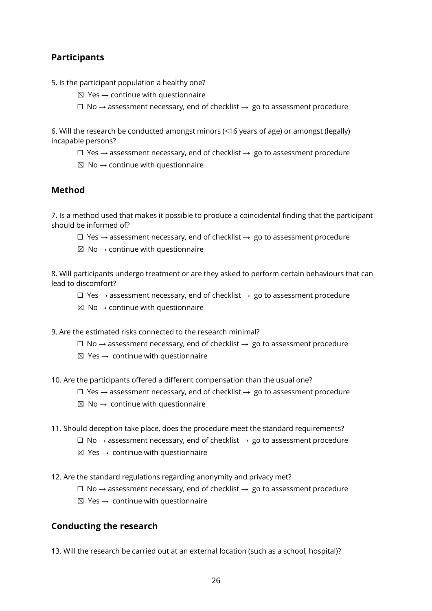# **Participants**

- 5. Is the participant population a healthy one?
	- $\boxtimes$  Yes  $\rightarrow$  continue with questionnaire
	- $\Box$  No  $\rightarrow$  assessment necessary, end of checklist  $\rightarrow$  go to assessment procedure

6. Will the research be conducted amongst minors (<16 years of age) or amongst (legally) incapable persons?

- $□$  Yes  $→$  assessment necessary, end of checklist  $→$  go to assessment procedure
- $\boxtimes$  No  $\rightarrow$  continue with questionnaire

## **Method**

7. Is a method used that makes it possible to produce a coincidental finding that the participant should be informed of?

- $□$  Yes  $→$  assessment necessary, end of checklist  $→$  go to assessment procedure
- $\boxtimes$  No  $\rightarrow$  continue with questionnaire

8. Will participants undergo treatment or are they asked to perform certain behaviours that can lead to discomfort?

- $□$  Yes  $→$  assessment necessary, end of checklist  $→$  go to assessment procedure
- $\boxtimes$  No  $\rightarrow$  continue with questionnaire

9. Are the estimated risks connected to the research minimal?

- $\Box$  No  $\rightarrow$  assessment necessary, end of checklist  $\rightarrow$  go to assessment procedure
- $\boxtimes$  Yes  $\rightarrow$  continue with questionnaire

10. Are the participants offered a different compensation than the usual one?

- $□$  Yes  $→$  assessment necessary, end of checklist  $→$  go to assessment procedure
- $\boxtimes$  No  $\rightarrow$  continue with questionnaire
- 11. Should deception take place, does the procedure meet the standard requirements?
	- $\Box$  No  $\rightarrow$  assessment necessary, end of checklist  $\rightarrow$  go to assessment procedure
	- $\boxtimes$  Yes  $\rightarrow$  continue with questionnaire
- 12. Are the standard regulations regarding anonymity and privacy met?
	- $□$  No  $\rightarrow$  assessment necessary, end of checklist  $\rightarrow$  go to assessment procedure
	- $\boxtimes$  Yes  $\rightarrow$  continue with questionnaire

## **Conducting the research**

13. Will the research be carried out at an external location (such as a school, hospital)?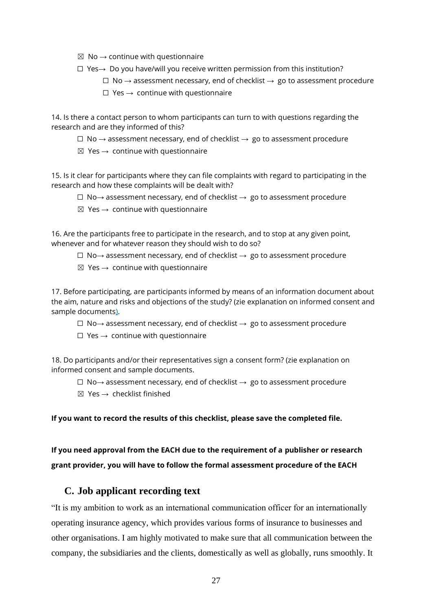- $\boxtimes$  No  $\rightarrow$  continue with questionnaire
- ☐ Yes→ Do you have/will you receive written permission from this institution?
	- $\Box$  No  $\rightarrow$  assessment necessary, end of checklist  $\rightarrow$  go to assessment procedure
	- $\Box$  Yes  $\rightarrow$  continue with questionnaire

14. Is there a contact person to whom participants can turn to with questions regarding the research and are they informed of this?

 $\Box$  No  $\rightarrow$  assessment necessary, end of checklist  $\rightarrow$  go to assessment procedure

 $\boxtimes$  Yes  $\rightarrow$  continue with questionnaire

15. Is it clear for participants where they can file complaints with regard to participating in the research and how these complaints will be dealt with?

- ☐ No→ assessment necessary, end of checklist → go to assessment procedure
- $\boxtimes$  Yes  $\rightarrow$  continue with questionnaire

16. Are the participants free to participate in the research, and to stop at any given point, whenever and for whatever reason they should wish to do so?

- ☐ No→ assessment necessary, end of checklist → go to assessment procedure
- $\boxtimes$  Yes  $\rightarrow$  continue with questionnaire

17. Before participating, are participants informed by means of an information document about the aim, nature and risks and objections of the study? (zie explanation on informed consent and sample documents).

- ☐ No→ assessment necessary, end of checklist → go to assessment procedure
- $\Box$  Yes  $\rightarrow$  continue with questionnaire

18. Do participants and/or their representatives sign a consent form? (zie explanation on informed consent and sample documents.

- ☐ No→ assessment necessary, end of checklist → go to assessment procedure
- $\boxtimes$  Yes  $\rightarrow$  checklist finished

**If you want to record the results of this checklist, please save the completed file.**

**If you need approval from the EACH due to the requirement of a publisher or research grant provider, you will have to follow the formal assessment procedure of the EACH**

### **C. Job applicant recording text**

"It is my ambition to work as an international communication officer for an internationally operating insurance agency, which provides various forms of insurance to businesses and other organisations. I am highly motivated to make sure that all communication between the company, the subsidiaries and the clients, domestically as well as globally, runs smoothly. It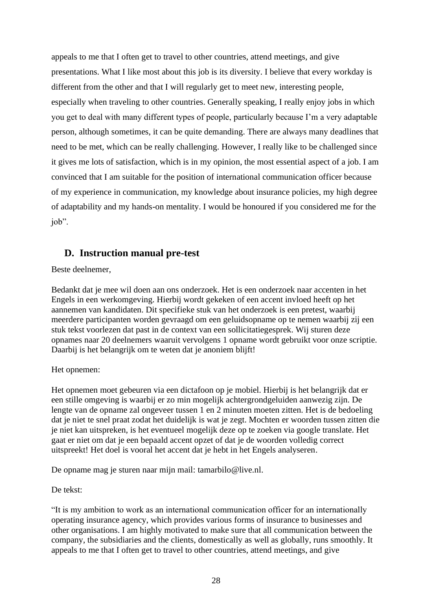appeals to me that I often get to travel to other countries, attend meetings, and give presentations. What I like most about this job is its diversity. I believe that every workday is different from the other and that I will regularly get to meet new, interesting people, especially when traveling to other countries. Generally speaking, I really enjoy jobs in which you get to deal with many different types of people, particularly because I'm a very adaptable person, although sometimes, it can be quite demanding. There are always many deadlines that need to be met, which can be really challenging. However, I really like to be challenged since it gives me lots of satisfaction, which is in my opinion, the most essential aspect of a job. I am convinced that I am suitable for the position of international communication officer because of my experience in communication, my knowledge about insurance policies, my high degree of adaptability and my hands-on mentality. I would be honoured if you considered me for the job".

# **D. Instruction manual pre-test**

Beste deelnemer,

Bedankt dat je mee wil doen aan ons onderzoek. Het is een onderzoek naar accenten in het Engels in een werkomgeving. Hierbij wordt gekeken of een accent invloed heeft op het aannemen van kandidaten. Dit specifieke stuk van het onderzoek is een pretest, waarbij meerdere participanten worden gevraagd om een geluidsopname op te nemen waarbij zij een stuk tekst voorlezen dat past in de context van een sollicitatiegesprek. Wij sturen deze opnames naar 20 deelnemers waaruit vervolgens 1 opname wordt gebruikt voor onze scriptie. Daarbij is het belangrijk om te weten dat je anoniem blijft!

### Het opnemen:

Het opnemen moet gebeuren via een dictafoon op je mobiel. Hierbij is het belangrijk dat er een stille omgeving is waarbij er zo min mogelijk achtergrondgeluiden aanwezig zijn. De lengte van de opname zal ongeveer tussen 1 en 2 minuten moeten zitten. Het is de bedoeling dat je niet te snel praat zodat het duidelijk is wat je zegt. Mochten er woorden tussen zitten die je niet kan uitspreken, is het eventueel mogelijk deze op te zoeken via google translate. Het gaat er niet om dat je een bepaald accent opzet of dat je de woorden volledig correct uitspreekt! Het doel is vooral het accent dat je hebt in het Engels analyseren.

De opname mag je sturen naar mijn mail: tamarbilo@live.nl.

#### De tekst:

"It is my ambition to work as an international communication officer for an internationally operating insurance agency, which provides various forms of insurance to businesses and other organisations. I am highly motivated to make sure that all communication between the company, the subsidiaries and the clients, domestically as well as globally, runs smoothly. It appeals to me that I often get to travel to other countries, attend meetings, and give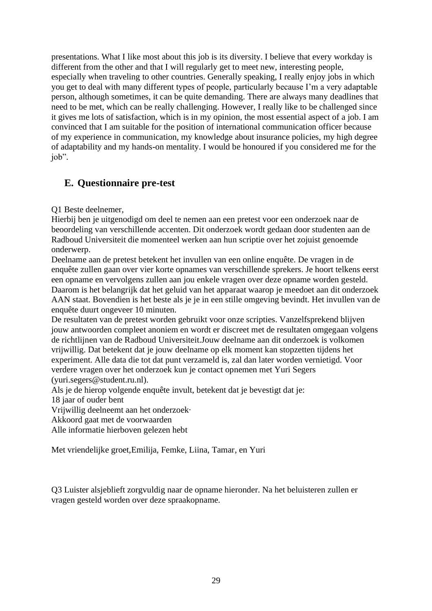presentations. What I like most about this job is its diversity. I believe that every workday is different from the other and that I will regularly get to meet new, interesting people, especially when traveling to other countries. Generally speaking, I really enjoy jobs in which you get to deal with many different types of people, particularly because I'm a very adaptable person, although sometimes, it can be quite demanding. There are always many deadlines that need to be met, which can be really challenging. However, I really like to be challenged since it gives me lots of satisfaction, which is in my opinion, the most essential aspect of a job. I am convinced that I am suitable for the position of international communication officer because of my experience in communication, my knowledge about insurance policies, my high degree of adaptability and my hands-on mentality. I would be honoured if you considered me for the job".

# **E. Questionnaire pre-test**

Q1 Beste deelnemer,

Hierbij ben je uitgenodigd om deel te nemen aan een pretest voor een onderzoek naar de beoordeling van verschillende accenten. Dit onderzoek wordt gedaan door studenten aan de Radboud Universiteit die momenteel werken aan hun scriptie over het zojuist genoemde onderwerp.

Deelname aan de pretest betekent het invullen van een online enquête. De vragen in de enquête zullen gaan over vier korte opnames van verschillende sprekers. Je hoort telkens eerst een opname en vervolgens zullen aan jou enkele vragen over deze opname worden gesteld. Daarom is het belangrijk dat het geluid van het apparaat waarop je meedoet aan dit onderzoek AAN staat. Bovendien is het beste als je je in een stille omgeving bevindt. Het invullen van de enquête duurt ongeveer 10 minuten.

De resultaten van de pretest worden gebruikt voor onze scripties. Vanzelfsprekend blijven jouw antwoorden compleet anoniem en wordt er discreet met de resultaten omgegaan volgens de richtlijnen van de Radboud Universiteit.Jouw deelname aan dit onderzoek is volkomen vrijwillig. Dat betekent dat je jouw deelname op elk moment kan stopzetten tijdens het experiment. Alle data die tot dat punt verzameld is, zal dan later worden vernietigd. Voor verdere vragen over het onderzoek kun je contact opnemen met Yuri Segers (yuri.segers@student.ru.nl).

Als je de hierop volgende enquête invult, betekent dat je bevestigt dat je:

18 jaar of ouder bent

Vrijwillig deelneemt aan het onderzoek·

Akkoord gaat met de voorwaarden

Alle informatie hierboven gelezen hebt

Met vriendelijke groet,Emilija, Femke, Liina, Tamar, en Yuri

Q3 Luister alsjeblieft zorgvuldig naar de opname hieronder. Na het beluisteren zullen er vragen gesteld worden over deze spraakopname.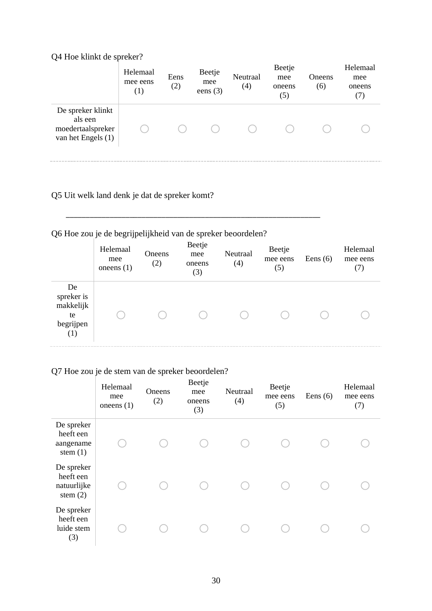# Q4 Hoe klinkt de spreker?

|                                                                         | Helemaal<br>mee eens<br>$\left(1\right)$ | Eens<br>(2) | Beetje<br>mee<br>eens $(3)$ | Neutraal<br>(4) | Beetje<br>mee<br>oneens<br>(5) | Oneens<br>(6) | Helemaal<br>mee<br>oneens<br>(7) |
|-------------------------------------------------------------------------|------------------------------------------|-------------|-----------------------------|-----------------|--------------------------------|---------------|----------------------------------|
| De spreker klinkt<br>als een<br>moedertaalspreker<br>van het Engels (1) |                                          |             |                             |                 |                                |               |                                  |

# Q5 Uit welk land denk je dat de spreker komt?

# Q6 Hoe zou je de begrijpelijkheid van de spreker beoordelen?

\_\_\_\_\_\_\_\_\_\_\_\_\_\_\_\_\_\_\_\_\_\_\_\_\_\_\_\_\_\_\_\_\_\_\_\_\_\_\_\_\_\_\_\_\_\_\_\_\_\_\_\_\_\_\_\_\_\_\_\_\_\_\_\_

|                                                         | Helemaal<br>mee<br>one ens $(1)$ | Oneens<br>(2) | Beetje<br>mee<br>oneens<br>(3) | Neutraal<br>(4) | Beetje<br>mee eens<br>(5) | Eens $(6)$ | Helemaal<br>mee eens<br>(7) |
|---------------------------------------------------------|----------------------------------|---------------|--------------------------------|-----------------|---------------------------|------------|-----------------------------|
| De<br>spreker is<br>makkelijk<br>te<br>begrijpen<br>(1) |                                  |               |                                |                 |                           |            |                             |

# Q7 Hoe zou je de stem van de spreker beoordelen?

|                                                      | Helemaal<br>mee<br>one ens $(1)$ | Oneens<br>(2) | Beetje<br>mee<br>oneens<br>(3) | Neutraal<br>(4) | Beetje<br>mee eens<br>(5) | Eens $(6)$ | Helemaal<br>mee eens<br>(7) |
|------------------------------------------------------|----------------------------------|---------------|--------------------------------|-----------------|---------------------------|------------|-----------------------------|
| De spreker<br>heeft een<br>aangename<br>stem $(1)$   |                                  |               |                                |                 |                           |            |                             |
| De spreker<br>heeft een<br>natuurlijke<br>stem $(2)$ |                                  |               |                                |                 |                           |            |                             |
| De spreker<br>heeft een<br>luide stem<br>(3)         |                                  |               |                                |                 |                           |            |                             |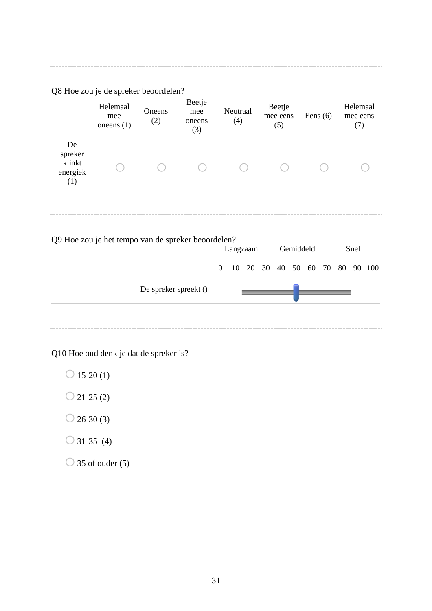Q8 Hoe zou je de spreker beoordelen?

|                                            | Helemaal<br>mee<br>one ens $(1)$ | Oneens<br>(2) | Beetje<br>mee<br>oneens<br>(3) | Neutraal<br>(4) | Beetje<br>mee eens<br>(5) | Eens $(6)$ | Helemaal<br>mee eens<br>(7) |
|--------------------------------------------|----------------------------------|---------------|--------------------------------|-----------------|---------------------------|------------|-----------------------------|
| De<br>spreker<br>klinkt<br>energiek<br>(1) |                                  |               |                                |                 |                           |            |                             |

Q9 Hoe zou je het tempo van de spreker beoordelen? Langzaam Gemiddeld Snel 0 10 20 30 40 50 60 70 80 90 100 De spreker spreekt ()

Q10 Hoe oud denk je dat de spreker is?

- $\bigcirc$  15-20 (1)
- $\bigcirc$  21-25 (2)
- $\bigcirc$  26-30 (3)
- $\bigcirc$  31-35 (4)
- $\bigcirc$  35 of ouder (5)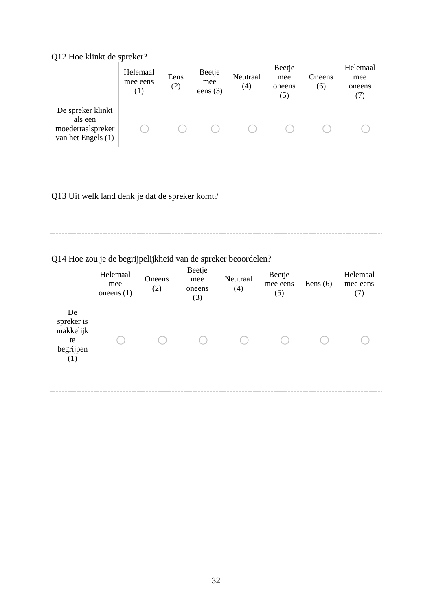# Q12 Hoe klinkt de spreker?

|                                                                         | Helemaal<br>mee eens<br>(1) | Eens<br>(2) | Beetje<br>mee<br>eens $(3)$ | Neutraal<br>(4) | Beetje<br>mee<br>oneens<br>(5) | Oneens<br>(6) | Helemaal<br>mee<br>oneens<br>(7) |
|-------------------------------------------------------------------------|-----------------------------|-------------|-----------------------------|-----------------|--------------------------------|---------------|----------------------------------|
| De spreker klinkt<br>als een<br>moedertaalspreker<br>van het Engels (1) |                             |             |                             |                 |                                |               |                                  |

# Q13 Uit welk land denk je dat de spreker komt?

\_\_\_\_\_\_\_\_\_\_\_\_\_\_\_\_\_\_\_\_\_\_\_\_\_\_\_\_\_\_\_\_\_\_\_\_\_\_\_\_\_\_\_\_\_\_\_\_\_\_\_\_\_\_\_\_\_\_\_\_\_\_\_\_

# Q14 Hoe zou je de begrijpelijkheid van de spreker beoordelen?

|                                                         | Helemaal<br>mee<br>one ens $(1)$ | Oneens<br>(2) | Beetje<br>mee<br>oneens<br>(3) | Neutraal<br>(4) | Beetje<br>mee eens<br>(5) | Eens $(6)$ | Helemaal<br>mee eens<br>(7) |
|---------------------------------------------------------|----------------------------------|---------------|--------------------------------|-----------------|---------------------------|------------|-----------------------------|
| De<br>spreker is<br>makkelijk<br>te<br>begrijpen<br>(1) |                                  |               |                                |                 |                           |            |                             |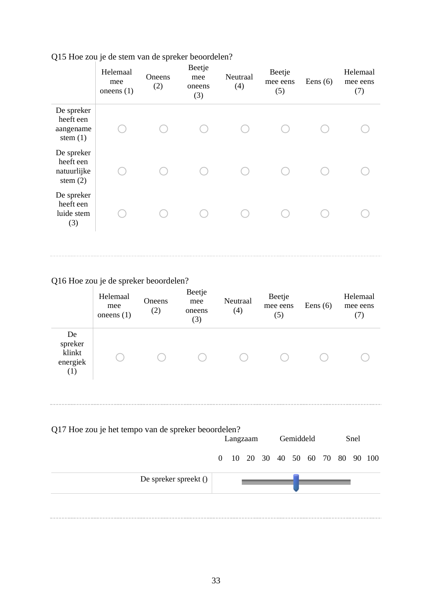|                                                      | Helemaal<br>mee<br>one ens $(1)$ | Oneens<br>(2) | Beetje<br>mee<br>oneens<br>(3) | Neutraal<br>(4) | Beetje<br>mee eens<br>(5) | Eens $(6)$ | Helemaal<br>mee eens<br>(7) |
|------------------------------------------------------|----------------------------------|---------------|--------------------------------|-----------------|---------------------------|------------|-----------------------------|
| De spreker<br>heeft een<br>aangename<br>stem $(1)$   |                                  |               |                                |                 |                           |            |                             |
| De spreker<br>heeft een<br>natuurlijke<br>stem $(2)$ |                                  |               |                                |                 |                           |            |                             |
| De spreker<br>heeft een<br>luide stem<br>(3)         |                                  |               |                                |                 |                           |            |                             |
|                                                      |                                  |               |                                |                 |                           |            |                             |

# Q15 Hoe zou je de stem van de spreker beoordelen?

# Q16 Hoe zou je de spreker beoordelen?

|                                            | Helemaal<br>mee<br>one ens $(1)$ | Oneens<br>(2) | Beetje<br>mee<br>oneens<br>(3) | Neutraal<br>(4) | Beetje<br>mee eens<br>(5) | Eens $(6)$ | Helemaal<br>mee eens<br>(7) |
|--------------------------------------------|----------------------------------|---------------|--------------------------------|-----------------|---------------------------|------------|-----------------------------|
| De<br>spreker<br>klinkt<br>energiek<br>(1) |                                  |               |                                |                 |                           |            |                             |

| Q17 Hoe zou je het tempo van de spreker beoordelen? |  | Langzaam |  | Gemiddeld |  | Snel |                                  |
|-----------------------------------------------------|--|----------|--|-----------|--|------|----------------------------------|
|                                                     |  |          |  |           |  |      | 0 10 20 30 40 50 60 70 80 90 100 |
| De spreker spreekt ()                               |  |          |  |           |  |      |                                  |
|                                                     |  |          |  |           |  |      |                                  |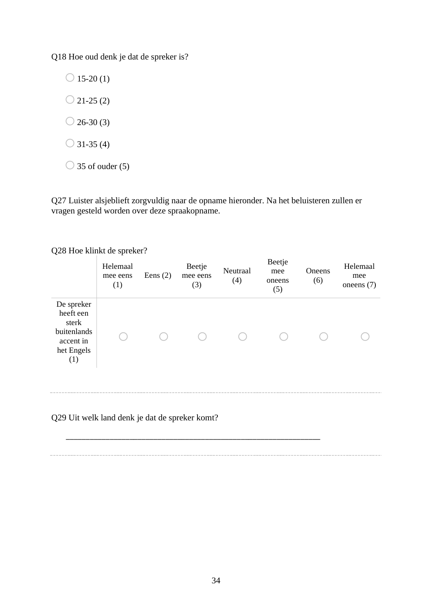Q18 Hoe oud denk je dat de spreker is?

 $\bigcirc$  15-20 (1)  $\bigcirc$  21-25 (2)  $\bigcirc$  26-30 (3)

 $\bigcirc$  31-35 (4)

 $\bigcirc$  35 of ouder (5)

Q27 Luister alsjeblieft zorgvuldig naar de opname hieronder. Na het beluisteren zullen er vragen gesteld worden over deze spraakopname.

|                                                                                   | -- - r<br>Helemaal<br>mee eens<br>(1) | Eens $(2)$ | Beetje<br>mee eens<br>(3) | Neutraal<br>(4) | Beetje<br>mee<br>oneens<br>(5) | Oneens<br>(6) | Helemaal<br>mee<br>one ens $(7)$ |
|-----------------------------------------------------------------------------------|---------------------------------------|------------|---------------------------|-----------------|--------------------------------|---------------|----------------------------------|
| De spreker<br>heeft een<br>sterk<br>buitenlands<br>accent in<br>het Engels<br>(1) |                                       |            |                           |                 |                                |               |                                  |
| Q29 Uit welk land denk je dat de spreker komt?                                    |                                       |            |                           |                 |                                |               |                                  |

### Q28 Hoe klinkt de spreker?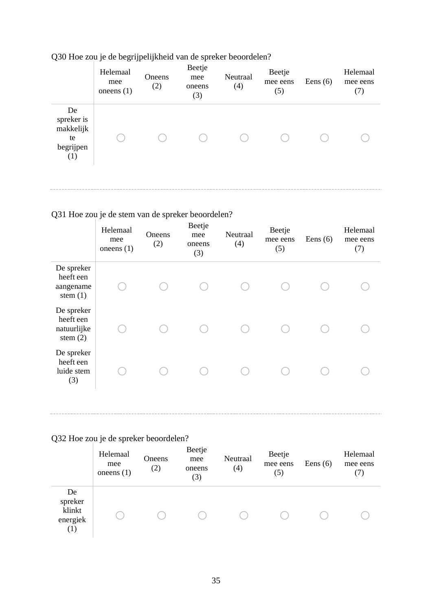|                                                         | Helemaal<br>mee<br>one ens $(1)$ | Oneens<br>(2) | Beetje<br>mee<br>oneens<br>(3) | Neutraal<br>(4) | Beetje<br>mee eens<br>(5) | Eens $(6)$ | Helemaal<br>mee eens<br>(7) |
|---------------------------------------------------------|----------------------------------|---------------|--------------------------------|-----------------|---------------------------|------------|-----------------------------|
| De<br>spreker is<br>makkelijk<br>te<br>begrijpen<br>(1) |                                  |               |                                |                 |                           |            |                             |

# Q30 Hoe zou je de begrijpelijkheid van de spreker beoordelen?

# Q31 Hoe zou je de stem van de spreker beoordelen?

| Helemaal<br>mee<br>oneens $(1)$ | Oneens<br>(2) | Beetje<br>mee<br>oneens<br>(3) | Neutraal<br>(4) | Beetje<br>mee eens<br>(5) | Eens $(6)$ | Helemaal<br>mee eens<br>(7) |
|---------------------------------|---------------|--------------------------------|-----------------|---------------------------|------------|-----------------------------|
|                                 |               |                                |                 |                           |            |                             |
|                                 |               |                                |                 |                           |            |                             |
|                                 |               |                                |                 |                           |            |                             |
|                                 |               |                                |                 |                           |            |                             |

# Q32 Hoe zou je de spreker beoordelen?

|                                            | Helemaal<br>mee<br>one ens $(1)$ | Oneens<br>(2) | Beetje<br>mee<br>oneens<br>(3) | Neutraal<br>(4) | Beetje<br>mee eens<br>(5) | Eens $(6)$ | Helemaal<br>mee eens<br>(7) |
|--------------------------------------------|----------------------------------|---------------|--------------------------------|-----------------|---------------------------|------------|-----------------------------|
| De<br>spreker<br>klinkt<br>energiek<br>(1) |                                  |               |                                |                 |                           |            |                             |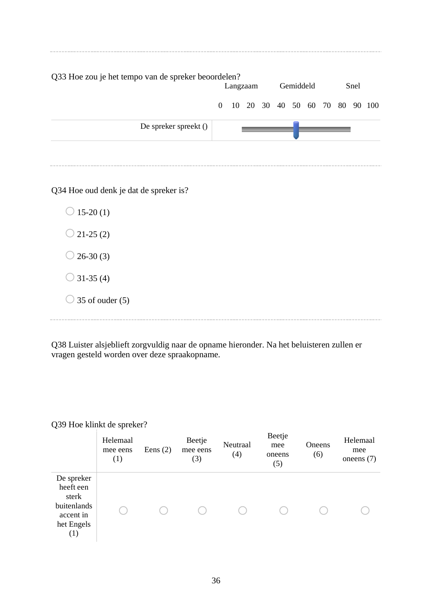| Q33 Hoe zou je het tempo van de spreker beoordelen?<br>Gemiddeld<br>Snel<br>Langzaam |          |  |                         |  |  |  |  |  |  |  |        |
|--------------------------------------------------------------------------------------|----------|--|-------------------------|--|--|--|--|--|--|--|--------|
|                                                                                      | $\Omega$ |  | 10 20 30 40 50 60 70 80 |  |  |  |  |  |  |  | 90 100 |
| De spreker spreekt ()                                                                |          |  |                         |  |  |  |  |  |  |  |        |
|                                                                                      |          |  |                         |  |  |  |  |  |  |  |        |

Q34 Hoe oud denk je dat de spreker is?

 $\bigcirc$  15-20 (1)  $\bigcirc$  21-25 (2)  $\bigcirc$  26-30 (3)  $\bigcirc$  31-35 (4)  $\bigcirc$  35 of ouder (5)

Q38 Luister alsjeblieft zorgvuldig naar de opname hieronder. Na het beluisteren zullen er vragen gesteld worden over deze spraakopname.

| Q39 Hoe klinkt de spreker? |  |  |
|----------------------------|--|--|
|----------------------------|--|--|

|                                                                                   | Helemaal<br>mee eens<br>(1) | Eens $(2)$ | Beetje<br>mee eens<br>(3) | Neutraal<br>(4) | Beetje<br>mee<br>oneens<br>(5) | Oneens<br>(6) | Helemaal<br>mee<br>one ens $(7)$ |
|-----------------------------------------------------------------------------------|-----------------------------|------------|---------------------------|-----------------|--------------------------------|---------------|----------------------------------|
| De spreker<br>heeft een<br>sterk<br>buitenlands<br>accent in<br>het Engels<br>(1) |                             |            |                           |                 |                                |               |                                  |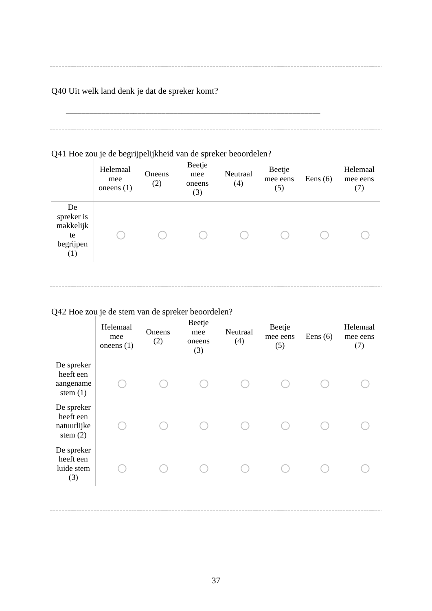Q40 Uit welk land denk je dat de spreker komt?

# Q41 Hoe zou je de begrijpelijkheid van de spreker beoordelen?

\_\_\_\_\_\_\_\_\_\_\_\_\_\_\_\_\_\_\_\_\_\_\_\_\_\_\_\_\_\_\_\_\_\_\_\_\_\_\_\_\_\_\_\_\_\_\_\_\_\_\_\_\_\_\_\_\_\_\_\_\_\_\_\_

|                                                         | Helemaal<br>mee<br>one ens $(1)$ | Oneens<br>(2) | Beetje<br>mee<br>oneens<br>(3) | Neutraal<br>(4) | Beetje<br>mee eens<br>(5) | Eens $(6)$ | Helemaal<br>mee eens<br>(7) |
|---------------------------------------------------------|----------------------------------|---------------|--------------------------------|-----------------|---------------------------|------------|-----------------------------|
| De<br>spreker is<br>makkelijk<br>te<br>begrijpen<br>(1) |                                  |               |                                |                 |                           |            |                             |

# Q42 Hoe zou je de stem van de spreker beoordelen?

| Helemaal<br>mee<br>one ens $(1)$ | Oneens<br>(2) | Beetje<br>mee<br>oneens<br>(3) | Neutraal<br>(4) | Beetje<br>mee eens<br>(5) | Eens $(6)$ | Helemaal<br>mee eens<br>(7) |
|----------------------------------|---------------|--------------------------------|-----------------|---------------------------|------------|-----------------------------|
|                                  |               |                                |                 |                           |            |                             |
|                                  |               |                                |                 |                           |            |                             |
|                                  |               |                                |                 |                           |            |                             |
|                                  |               |                                |                 |                           |            |                             |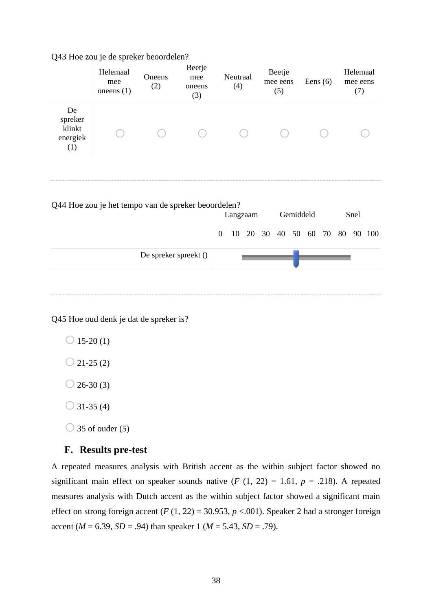|                                            | Helemaal<br>mee<br>one ens $(1)$                    | Oneens<br>(2)         | Beetje<br>mee<br>oneens<br>(3) |                  | Neutraal<br>(4) |          |  | Beetje<br>mee eens<br>(5) |  |                      |  |    |      | Eens $(6)$ |  | Helemaal<br>mee eens<br>(7) |  |  |
|--------------------------------------------|-----------------------------------------------------|-----------------------|--------------------------------|------------------|-----------------|----------|--|---------------------------|--|----------------------|--|----|------|------------|--|-----------------------------|--|--|
| De<br>spreker<br>klinkt<br>energiek<br>(1) |                                                     |                       |                                |                  |                 |          |  |                           |  |                      |  |    |      |            |  |                             |  |  |
|                                            | Q44 Hoe zou je het tempo van de spreker beoordelen? |                       |                                |                  |                 | Langzaam |  |                           |  | Gemiddeld            |  |    | Snel |            |  |                             |  |  |
|                                            |                                                     |                       |                                | $\boldsymbol{0}$ |                 |          |  |                           |  | 10 20 30 40 50 60 70 |  | 80 |      | 90 100     |  |                             |  |  |
|                                            |                                                     | De spreker spreekt () |                                |                  |                 |          |  |                           |  |                      |  |    |      |            |  |                             |  |  |
|                                            |                                                     |                       |                                |                  |                 |          |  |                           |  |                      |  |    |      |            |  |                             |  |  |

Q43 Hoe zou je de spreker beoordelen?

Q45 Hoe oud denk je dat de spreker is?

 $\bigcirc$  15-20 (1)

 $\bigcirc$  21-25 (2)

 $\bigcirc$  26-30 (3)

 $\bigcirc$  31-35 (4)

 $\bigcirc$  35 of ouder (5)

### **F. Results pre-test**

A repeated measures analysis with British accent as the within subject factor showed no significant main effect on speaker sounds native  $(F (1, 22) = 1.61, p = .218)$ . A repeated measures analysis with Dutch accent as the within subject factor showed a significant main effect on strong foreign accent  $(F (1, 22) = 30.953, p < .001)$ . Speaker 2 had a stronger foreign accent ( $M = 6.39$ ,  $SD = .94$ ) than speaker 1 ( $M = 5.43$ ,  $SD = .79$ ).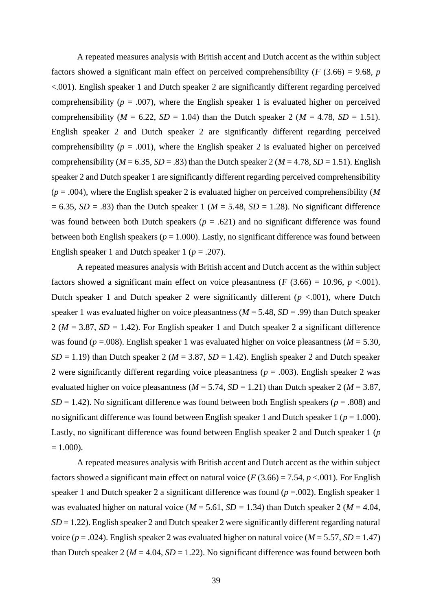A repeated measures analysis with British accent and Dutch accent as the within subject factors showed a significant main effect on perceived comprehensibility ( $F(3.66) = 9.68$ ,  $p($ <.001). English speaker 1 and Dutch speaker 2 are significantly different regarding perceived comprehensibility ( $p = .007$ ), where the English speaker 1 is evaluated higher on perceived comprehensibility ( $M = 6.22$ ,  $SD = 1.04$ ) than the Dutch speaker 2 ( $M = 4.78$ ,  $SD = 1.51$ ). English speaker 2 and Dutch speaker 2 are significantly different regarding perceived comprehensibility ( $p = .001$ ), where the English speaker 2 is evaluated higher on perceived comprehensibility ( $M = 6.35$ ,  $SD = .83$ ) than the Dutch speaker 2 ( $M = 4.78$ ,  $SD = 1.51$ ). English speaker 2 and Dutch speaker 1 are significantly different regarding perceived comprehensibility (*p* = .004), where the English speaker 2 is evaluated higher on perceived comprehensibility (*M*  $= 6.35$ , *SD* = .83) than the Dutch speaker 1 (*M* = 5.48, *SD* = 1.28). No significant difference was found between both Dutch speakers ( $p = .621$ ) and no significant difference was found between both English speakers ( $p = 1.000$ ). Lastly, no significant difference was found between English speaker 1 and Dutch speaker 1 ( $p = .207$ ).

A repeated measures analysis with British accent and Dutch accent as the within subject factors showed a significant main effect on voice pleasantness ( $F(3.66) = 10.96$ ,  $p < .001$ ). Dutch speaker 1 and Dutch speaker 2 were significantly different  $(p < .001)$ , where Dutch speaker 1 was evaluated higher on voice pleasantness (*M* = 5.48, *SD* = .99) than Dutch speaker 2 ( $M = 3.87$ ,  $SD = 1.42$ ). For English speaker 1 and Dutch speaker 2 a significant difference was found ( $p = .008$ ). English speaker 1 was evaluated higher on voice pleasantness ( $M = 5.30$ ,  $SD = 1.19$ ) than Dutch speaker 2 ( $M = 3.87$ ,  $SD = 1.42$ ). English speaker 2 and Dutch speaker 2 were significantly different regarding voice pleasantness (*p* = .003). English speaker 2 was evaluated higher on voice pleasantness ( $M = 5.74$ ,  $SD = 1.21$ ) than Dutch speaker 2 ( $M = 3.87$ ,  $SD = 1.42$ ). No significant difference was found between both English speakers ( $p = .808$ ) and no significant difference was found between English speaker 1 and Dutch speaker 1 (*p* = 1.000). Lastly, no significant difference was found between English speaker 2 and Dutch speaker 1 (*p*  $= 1.000$ ).

A repeated measures analysis with British accent and Dutch accent as the within subject factors showed a significant main effect on natural voice ( $F(3.66) = 7.54$ ,  $p < .001$ ). For English speaker 1 and Dutch speaker 2 a significant difference was found (*p* =.002). English speaker 1 was evaluated higher on natural voice ( $M = 5.61$ ,  $SD = 1.34$ ) than Dutch speaker 2 ( $M = 4.04$ , *SD* = 1.22). English speaker 2 and Dutch speaker 2 were significantly different regarding natural voice ( $p = .024$ ). English speaker 2 was evaluated higher on natural voice ( $M = 5.57$ ,  $SD = 1.47$ ) than Dutch speaker 2 ( $M = 4.04$ ,  $SD = 1.22$ ). No significant difference was found between both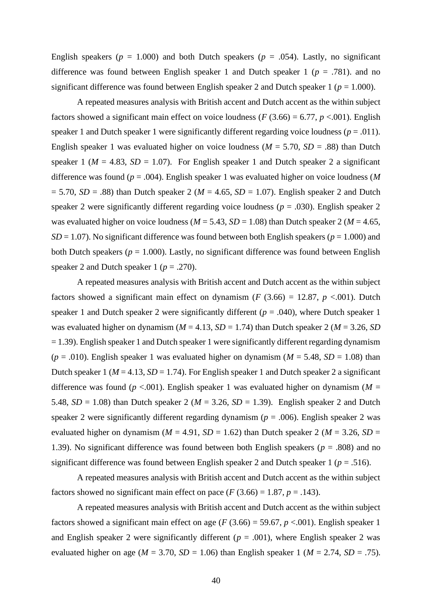English speakers ( $p = 1.000$ ) and both Dutch speakers ( $p = .054$ ). Lastly, no significant difference was found between English speaker 1 and Dutch speaker 1 ( $p = .781$ ). and no significant difference was found between English speaker 2 and Dutch speaker 1 ( $p = 1.000$ ).

A repeated measures analysis with British accent and Dutch accent as the within subject factors showed a significant main effect on voice loudness ( $F(3.66) = 6.77$ ,  $p < .001$ ). English speaker 1 and Dutch speaker 1 were significantly different regarding voice loudness ( $p = .011$ ). English speaker 1 was evaluated higher on voice loudness ( $M = 5.70$ ,  $SD = .88$ ) than Dutch speaker 1 ( $M = 4.83$ ,  $SD = 1.07$ ). For English speaker 1 and Dutch speaker 2 a significant difference was found (*p* = .004). English speaker 1 was evaluated higher on voice loudness (*M*  $= 5.70$ , *SD* = .88) than Dutch speaker 2 (*M* = 4.65, *SD* = 1.07). English speaker 2 and Dutch speaker 2 were significantly different regarding voice loudness ( $p = .030$ ). English speaker 2 was evaluated higher on voice loudness ( $M = 5.43$ ,  $SD = 1.08$ ) than Dutch speaker 2 ( $M = 4.65$ , *SD* = 1.07). No significant difference was found between both English speakers ( $p = 1.000$ ) and both Dutch speakers ( $p = 1.000$ ). Lastly, no significant difference was found between English speaker 2 and Dutch speaker 1 ( $p = .270$ ).

A repeated measures analysis with British accent and Dutch accent as the within subject factors showed a significant main effect on dynamism ( $F(3.66) = 12.87$ ,  $p < .001$ ). Dutch speaker 1 and Dutch speaker 2 were significantly different ( $p = .040$ ), where Dutch speaker 1 was evaluated higher on dynamism ( $M = 4.13$ ,  $SD = 1.74$ ) than Dutch speaker 2 ( $M = 3.26$ ,  $SD$  $= 1.39$ ). English speaker 1 and Dutch speaker 1 were significantly different regarding dynamism  $(p = .010)$ . English speaker 1 was evaluated higher on dynamism  $(M = 5.48, SD = 1.08)$  than Dutch speaker 1 ( $M = 4.13$ ,  $SD = 1.74$ ). For English speaker 1 and Dutch speaker 2 a significant difference was found ( $p < .001$ ). English speaker 1 was evaluated higher on dynamism ( $M =$ 5.48,  $SD = 1.08$ ) than Dutch speaker 2 ( $M = 3.26$ ,  $SD = 1.39$ ). English speaker 2 and Dutch speaker 2 were significantly different regarding dynamism (*p* = .006). English speaker 2 was evaluated higher on dynamism ( $M = 4.91$ ,  $SD = 1.62$ ) than Dutch speaker 2 ( $M = 3.26$ ,  $SD =$ 1.39). No significant difference was found between both English speakers (*p* = .808) and no significant difference was found between English speaker 2 and Dutch speaker 1 (*p* = .516).

A repeated measures analysis with British accent and Dutch accent as the within subject factors showed no significant main effect on pace  $(F (3.66) = 1.87, p = .143)$ .

A repeated measures analysis with British accent and Dutch accent as the within subject factors showed a significant main effect on age ( $F(3.66) = 59.67$ ,  $p < .001$ ). English speaker 1 and English speaker 2 were significantly different ( $p = .001$ ), where English speaker 2 was evaluated higher on age ( $M = 3.70$ ,  $SD = 1.06$ ) than English speaker 1 ( $M = 2.74$ ,  $SD = .75$ ).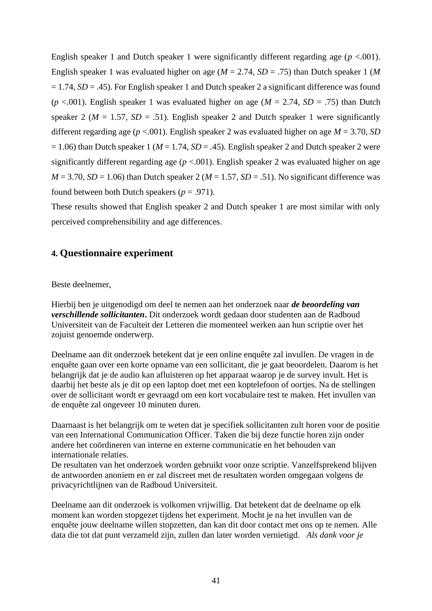English speaker 1 and Dutch speaker 1 were significantly different regarding age  $(p < .001)$ . English speaker 1 was evaluated higher on age (*M* = 2.74, *SD* = .75) than Dutch speaker 1 (*M*  $= 1.74$ ,  $SD = .45$ ). For English speaker 1 and Dutch speaker 2 a significant difference was found ( $p$  <.001). English speaker 1 was evaluated higher on age ( $M = 2.74$ ,  $SD = .75$ ) than Dutch speaker 2 ( $M = 1.57$ ,  $SD = .51$ ). English speaker 2 and Dutch speaker 1 were significantly different regarding age (*p* <.001). English speaker 2 was evaluated higher on age *M* = 3.70, *SD*  $= 1.06$ ) than Dutch speaker 1 ( $M = 1.74$ ,  $SD = .45$ ). English speaker 2 and Dutch speaker 2 were significantly different regarding age  $(p < .001)$ . English speaker 2 was evaluated higher on age  $M = 3.70$ ,  $SD = 1.06$ ) than Dutch speaker 2 ( $M = 1.57$ ,  $SD = .51$ ). No significant difference was found between both Dutch speakers ( $p = .971$ ).

These results showed that English speaker 2 and Dutch speaker 1 are most similar with only perceived comprehensibility and age differences.

## **4. Questionnaire experiment**

#### Beste deelnemer,

Hierbij ben je uitgenodigd om deel te nemen aan het onderzoek naar *de beoordeling van verschillende sollicitanten***.** Dit onderzoek wordt gedaan door studenten aan de Radboud Universiteit van de Faculteit der Letteren die momenteel werken aan hun scriptie over het zojuist genoemde onderwerp.

Deelname aan dit onderzoek betekent dat je een online enquête zal invullen. De vragen in de enquête gaan over een korte opname van een sollicitant, die je gaat beoordelen. Daarom is het belangrijk dat je de audio kan afluisteren op het apparaat waarop je de survey invult. Het is daarbij het beste als je dit op een laptop doet met een koptelefoon of oortjes. Na de stellingen over de sollicitant wordt er gevraagd om een kort vocabulaire test te maken. Het invullen van de enquête zal ongeveer 10 minuten duren.

Daarnaast is het belangrijk om te weten dat je specifiek sollicitanten zult horen voor de positie van een International Communication Officer. Taken die bij deze functie horen zijn onder andere het coördineren van interne en externe communicatie en het behouden van internationale relaties.

De resultaten van het onderzoek worden gebruikt voor onze scriptie. Vanzelfsprekend blijven de antwoorden anoniem en er zal discreet met de resultaten worden omgegaan volgens de privacyrichtlijnen van de Radboud Universiteit.

Deelname aan dit onderzoek is volkomen vrijwillig. Dat betekent dat de deelname op elk moment kan worden stopgezet tijdens het experiment. Mocht je na het invullen van de enquête jouw deelname willen stopzetten, dan kan dit door contact met ons op te nemen. Alle data die tot dat punt verzameld zijn, zullen dan later worden vernietigd. *Als dank voor je*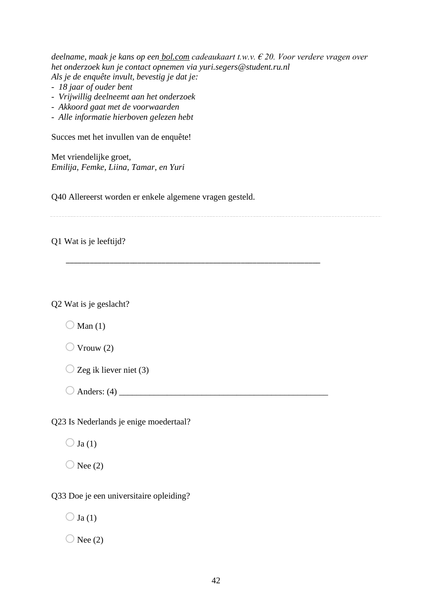*deelname, maak je kans op een bol.com cadeaukaart t.w.v. € 20. Voor verdere vragen over het onderzoek kun je contact opnemen via yuri.segers@student.ru.nl Als je de enquête invult, bevestig je dat je:*

- *18 jaar of ouder bent*
- *Vrijwillig deelneemt aan het onderzoek*
- *Akkoord gaat met de voorwaarden*
- *Alle informatie hierboven gelezen hebt*

Succes met het invullen van de enquête!

Met vriendelijke groet, *Emilija, Femke, Liina, Tamar, en Yuri*

Q40 Allereerst worden er enkele algemene vragen gesteld.

\_\_\_\_\_\_\_\_\_\_\_\_\_\_\_\_\_\_\_\_\_\_\_\_\_\_\_\_\_\_\_\_\_\_\_\_\_\_\_\_\_\_\_\_\_\_\_\_\_\_\_\_\_\_\_\_\_\_\_\_\_\_\_\_

Q1 Wat is je leeftijd?

Q2 Wat is je geslacht?

 $\bigcirc$  Man (1)

 $\bigcirc$  Vrouw (2)

 $\bigcirc$  Zeg ik liever niet (3)

 $\bigcirc$  Anders: (4)

Q23 Is Nederlands je enige moedertaal?

 $\bigcirc$  Ja(1)

 $\bigcirc$  Nee (2)

Q33 Doe je een universitaire opleiding?

 $\bigcirc$  Ja(1)

 $\bigcirc$  Nee (2)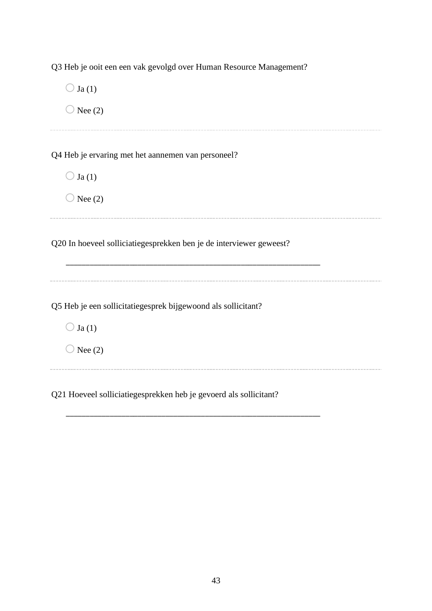Q3 Heb je ooit een een vak gevolgd over Human Resource Management?

 $\bigcirc$  Ja(1)  $\bigcirc$  Nee (2) Q4 Heb je ervaring met het aannemen van personeel?  $\bigcirc$  Ja(1)  $\bigcirc$  Nee (2) Q20 In hoeveel solliciatiegesprekken ben je de interviewer geweest? \_\_\_\_\_\_\_\_\_\_\_\_\_\_\_\_\_\_\_\_\_\_\_\_\_\_\_\_\_\_\_\_\_\_\_\_\_\_\_\_\_\_\_\_\_\_\_\_\_\_\_\_\_\_\_\_\_\_\_\_\_\_\_\_ Q5 Heb je een sollicitatiegesprek bijgewoond als sollicitant?  $\bigcirc$  Ja (1)  $\bigcirc$  Nee (2) \_\_\_\_\_\_\_\_\_\_\_\_\_\_\_\_\_\_\_\_\_\_ 

Q21 Hoeveel solliciatiegesprekken heb je gevoerd als sollicitant?

\_\_\_\_\_\_\_\_\_\_\_\_\_\_\_\_\_\_\_\_\_\_\_\_\_\_\_\_\_\_\_\_\_\_\_\_\_\_\_\_\_\_\_\_\_\_\_\_\_\_\_\_\_\_\_\_\_\_\_\_\_\_\_\_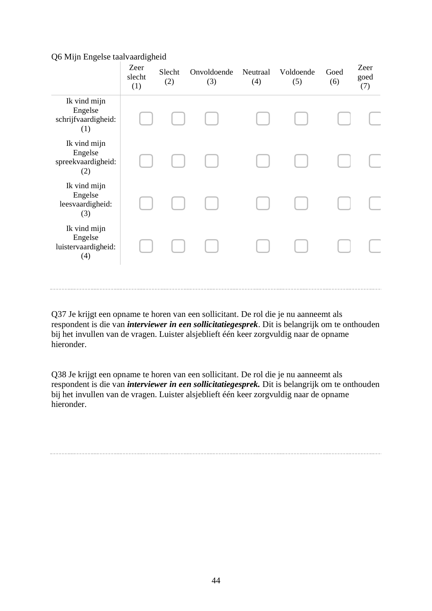#### Q6 Mijn Engelse taalvaardigheid

|                                                       | Zeer<br>slecht<br>(1) | Slecht<br>(2) | Onvoldoende<br>(3) | Neutraal<br>(4) | Voldoende<br>(5) | Goed<br>(6) | Zeer<br>goed<br>(7) |
|-------------------------------------------------------|-----------------------|---------------|--------------------|-----------------|------------------|-------------|---------------------|
| Ik vind mijn<br>Engelse<br>schrijfvaardigheid:<br>(1) |                       |               |                    |                 |                  |             |                     |
| Ik vind mijn<br>Engelse<br>spreekvaardigheid:<br>(2)  |                       |               |                    |                 |                  |             |                     |
| Ik vind mijn<br>Engelse<br>leesvaardigheid:<br>(3)    |                       |               |                    |                 |                  |             |                     |
| Ik vind mijn<br>Engelse<br>luistervaardigheid:<br>(4) |                       |               |                    |                 |                  |             |                     |
|                                                       |                       |               |                    |                 |                  |             |                     |

Q37 Je krijgt een opname te horen van een sollicitant. De rol die je nu aanneemt als respondent is die van *interviewer in een sollicitatiegesprek*. Dit is belangrijk om te onthouden bij het invullen van de vragen. Luister alsjeblieft één keer zorgvuldig naar de opname hieronder.

Q38 Je krijgt een opname te horen van een sollicitant. De rol die je nu aanneemt als respondent is die van *interviewer in een sollicitatiegesprek.* Dit is belangrijk om te onthouden bij het invullen van de vragen. Luister alsjeblieft één keer zorgvuldig naar de opname hieronder.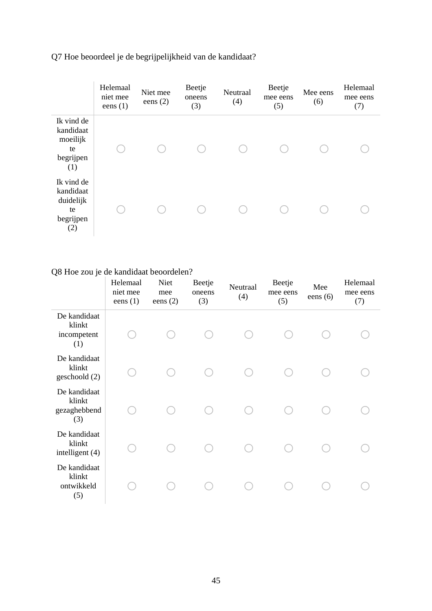Q7 Hoe beoordeel je de begrijpelijkheid van de kandidaat?

|                                                                | Helemaal<br>niet mee<br>eens $(1)$ | Niet mee<br>eens $(2)$ | Beetje<br>oneens<br>(3) | Neutraal<br>(4) | Beetje<br>mee eens<br>(5) | Mee eens<br>(6) | Helemaal<br>mee eens<br>(7) |
|----------------------------------------------------------------|------------------------------------|------------------------|-------------------------|-----------------|---------------------------|-----------------|-----------------------------|
| Ik vind de<br>kandidaat<br>moeilijk<br>te<br>begrijpen<br>(1)  |                                    |                        |                         |                 |                           |                 |                             |
| Ik vind de<br>kandidaat<br>duidelijk<br>te<br>begrijpen<br>(2) |                                    |                        |                         |                 |                           |                 |                             |

# Q8 Hoe zou je de kandidaat beoordelen?

|                                               | Helemaal<br>niet mee<br>eens $(1)$ | Niet<br>mee<br>eens $(2)$ | Beetje<br>oneens<br>(3) | Neutraal<br>(4) | Beetje<br>mee eens<br>(5) | Mee<br>eens $(6)$ | Helemaal<br>mee eens<br>(7) |
|-----------------------------------------------|------------------------------------|---------------------------|-------------------------|-----------------|---------------------------|-------------------|-----------------------------|
| De kandidaat<br>klinkt<br>incompetent<br>(1)  |                                    |                           |                         |                 |                           |                   |                             |
| De kandidaat<br>klinkt<br>geschoold (2)       |                                    |                           |                         |                 |                           |                   |                             |
| De kandidaat<br>klinkt<br>gezaghebbend<br>(3) |                                    |                           |                         |                 |                           |                   |                             |
| De kandidaat<br>klinkt<br>intelligent (4)     |                                    |                           |                         |                 |                           |                   |                             |
| De kandidaat<br>klinkt<br>ontwikkeld<br>(5)   |                                    |                           |                         |                 |                           |                   |                             |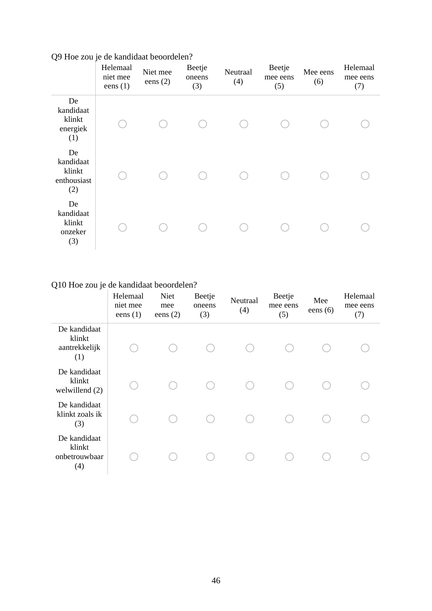|                                                 | Helemaal<br>niet mee<br>eens $(1)$ | Niet mee<br>eens $(2)$ | Beetje<br>oneens<br>(3) | Neutraal<br>(4) | Beetje<br>mee eens<br>(5) | Mee eens<br>(6) | Helemaal<br>mee eens<br>(7) |
|-------------------------------------------------|------------------------------------|------------------------|-------------------------|-----------------|---------------------------|-----------------|-----------------------------|
| De<br>kandidaat<br>klinkt<br>energiek<br>(1)    |                                    |                        |                         |                 |                           |                 |                             |
| De<br>kandidaat<br>klinkt<br>enthousiast<br>(2) |                                    |                        |                         |                 |                           |                 |                             |
| De<br>kandidaat<br>klinkt<br>onzeker<br>(3)     |                                    |                        |                         |                 |                           |                 |                             |

Q9 Hoe zou je de kandidaat beoordelen?

# Q10 Hoe zou je de kandidaat beoordelen?

|                                                | Helemaal<br>niet mee<br>eens $(1)$ | Niet<br>mee<br>eens $(2)$ | Beetje<br>oneens<br>(3) | Neutraal<br>(4) | Beetje<br>mee eens<br>(5) | Mee<br>eens $(6)$ | Helemaal<br>mee eens<br>(7) |
|------------------------------------------------|------------------------------------|---------------------------|-------------------------|-----------------|---------------------------|-------------------|-----------------------------|
| De kandidaat<br>klinkt<br>aantrekkelijk<br>(1) |                                    |                           |                         |                 |                           |                   |                             |
| De kandidaat<br>klinkt<br>welwillend (2)       |                                    |                           |                         |                 |                           |                   |                             |
| De kandidaat<br>klinkt zoals ik<br>(3)         |                                    |                           |                         |                 |                           |                   |                             |
| De kandidaat<br>klinkt<br>onbetrouwbaar<br>(4) |                                    |                           |                         |                 |                           |                   |                             |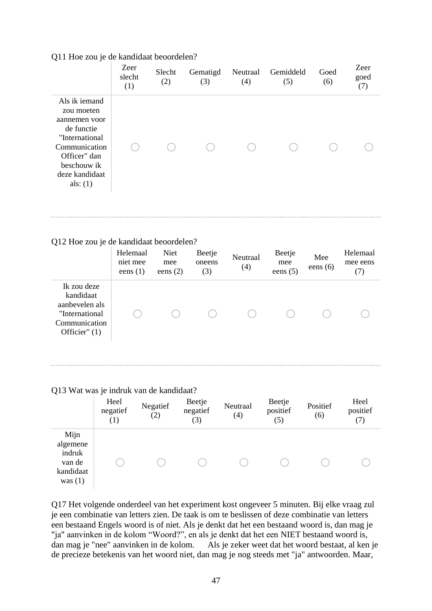## Q11 Hoe zou je de kandidaat beoordelen?

|                                                                                                                                                              | Zeer<br>slecht<br>(1) | Slecht<br>(2) | Gematigd<br>(3) | Neutraal<br>(4) | Gemiddeld<br>(5) | Goed<br>(6) | Zeer<br>goed<br>(7) |
|--------------------------------------------------------------------------------------------------------------------------------------------------------------|-----------------------|---------------|-----------------|-----------------|------------------|-------------|---------------------|
| Als ik iemand<br>zou moeten<br>aannemen voor<br>de functie<br>"International<br>Communication<br>Officer" dan<br>beschouw ik<br>deze kandidaat<br>als: $(1)$ |                       |               |                 |                 |                  |             |                     |

#### Q12 Hoe zou je de kandidaat beoordelen?

|                                                                                                   | Helemaal<br>niet mee<br>eens $(1)$ | Niet<br>mee<br>eens $(2)$ | Beetje<br>oneens<br>(3) | Neutraal<br>(4) | Beetje<br>mee<br>eens $(5)$ | Mee<br>eens $(6)$ | Helemaal<br>mee eens<br>(7) |
|---------------------------------------------------------------------------------------------------|------------------------------------|---------------------------|-------------------------|-----------------|-----------------------------|-------------------|-----------------------------|
| Ik zou deze<br>kandidaat<br>aanbevelen als<br>"International"<br>Communication<br>Officier" $(1)$ |                                    |                           |                         |                 |                             |                   |                             |

#### Q13 Wat was je indruk van de kandidaat?

|                                                                | Heel<br>negatief<br>$\left(1\right)$ | Negatief<br>(2) | Beetje<br>negatief<br>(3) | Neutraal<br>(4) | Beetje<br>positief<br>(5) | Positief<br>(6) | Heel<br>positief<br>(7) |
|----------------------------------------------------------------|--------------------------------------|-----------------|---------------------------|-----------------|---------------------------|-----------------|-------------------------|
| Mijn<br>algemene<br>indruk<br>van de<br>kandidaat<br>was $(1)$ |                                      |                 |                           |                 |                           |                 |                         |

Q17 Het volgende onderdeel van het experiment kost ongeveer 5 minuten. Bij elke vraag zul je een combinatie van letters zien. De taak is om te beslissen of deze combinatie van letters een bestaand Engels woord is of niet. Als je denkt dat het een bestaand woord is, dan mag je "ja" aanvinken in de kolom "Woord?", en als je denkt dat het een NIET bestaand woord is, dan mag je "nee" aanvinken in de kolom. Als je zeker weet dat het woord bestaat, al ken je de precieze betekenis van het woord niet, dan mag je nog steeds met "ja" antwoorden. Maar,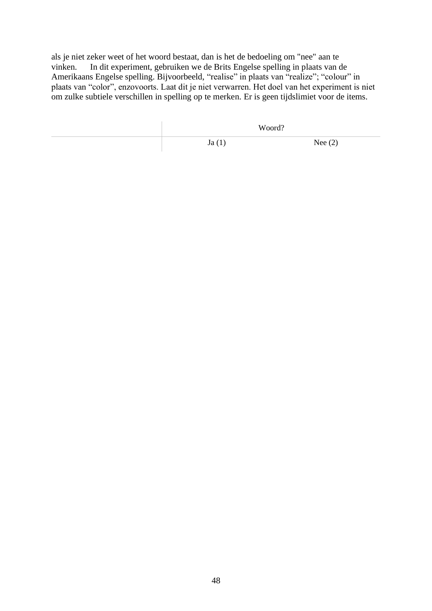als je niet zeker weet of het woord bestaat, dan is het de bedoeling om "nee" aan te vinken. In dit experiment, gebruiken we de Brits Engelse spelling in plaats van de Amerikaans Engelse spelling. Bijvoorbeeld, "realise" in plaats van "realize"; "colour" in plaats van "color", enzovoorts. Laat dit je niet verwarren. Het doel van het experiment is niet om zulke subtiele verschillen in spelling op te merken. Er is geen tijdslimiet voor de items.

| Woord? |           |
|--------|-----------|
| Ja(1)  | Nee $(2)$ |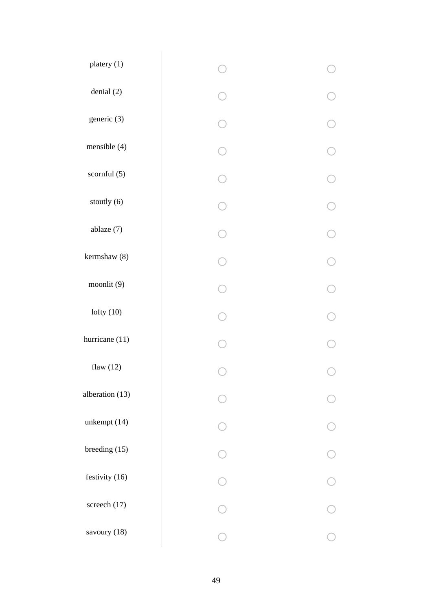| platery (1)     |   |  |
|-----------------|---|--|
| denial (2)      |   |  |
| generic (3)     |   |  |
| mensible (4)    |   |  |
| scornful (5)    |   |  |
| stoutly (6)     |   |  |
| ablaze (7)      |   |  |
| kermshaw (8)    |   |  |
| moonlit (9)     |   |  |
| lofty $(10)$    |   |  |
| hurricane (11)  |   |  |
| flaw $(12)$     |   |  |
| alberation (13) |   |  |
| unkempt (14)    |   |  |
| breeding (15)   |   |  |
| festivity (16)  | ◯ |  |
| screech (17)    |   |  |
| savoury (18)    |   |  |
|                 |   |  |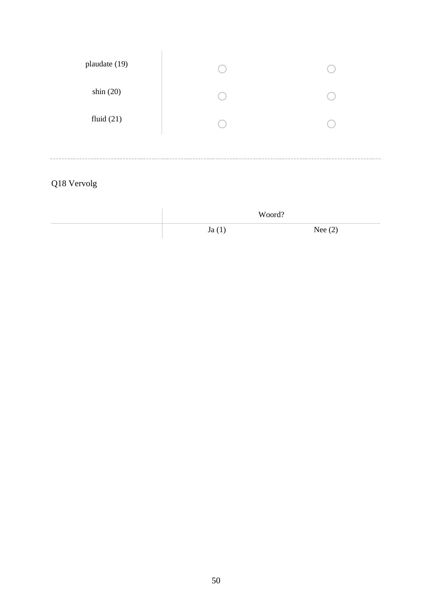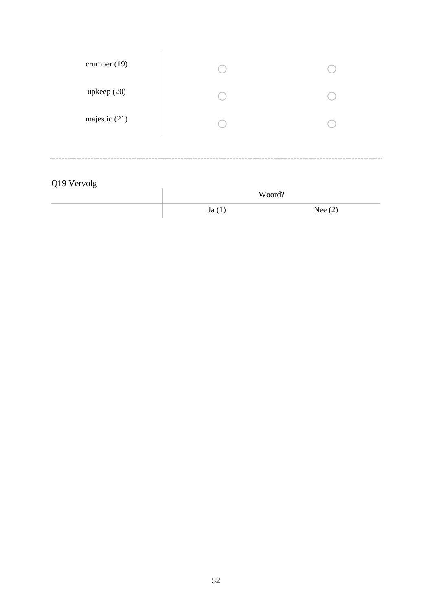| Q19 Vervolg    | Woord? |  |
|----------------|--------|--|
|                |        |  |
| majestic (21)  |        |  |
| upkeep(20)     |        |  |
| crumper $(19)$ |        |  |
|                |        |  |

 $Ja(1)$  Nee (2)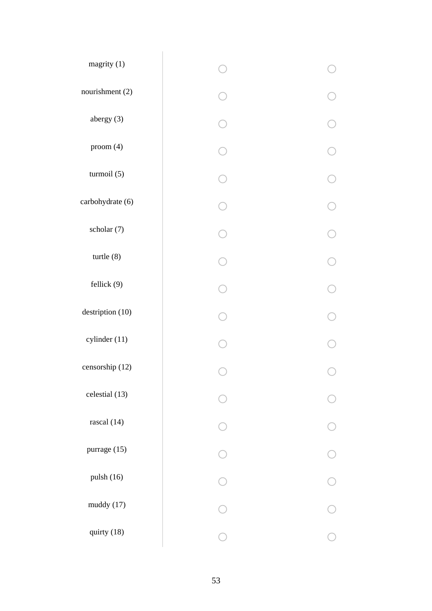| magrity (1)      |  |
|------------------|--|
| nourishment (2)  |  |
| abergy (3)       |  |
| proom(4)         |  |
| turmoil (5)      |  |
| carbohydrate (6) |  |
| scholar (7)      |  |
| $t$ urtle $(8)$  |  |
| fellick (9)      |  |
| destription (10) |  |
| cylinder (11)    |  |
| censorship (12)  |  |
| celestial (13)   |  |
| rascal (14)      |  |
| purrage (15)     |  |
| pulsh (16)       |  |
| muddy (17)       |  |
| quirty (18)      |  |
|                  |  |